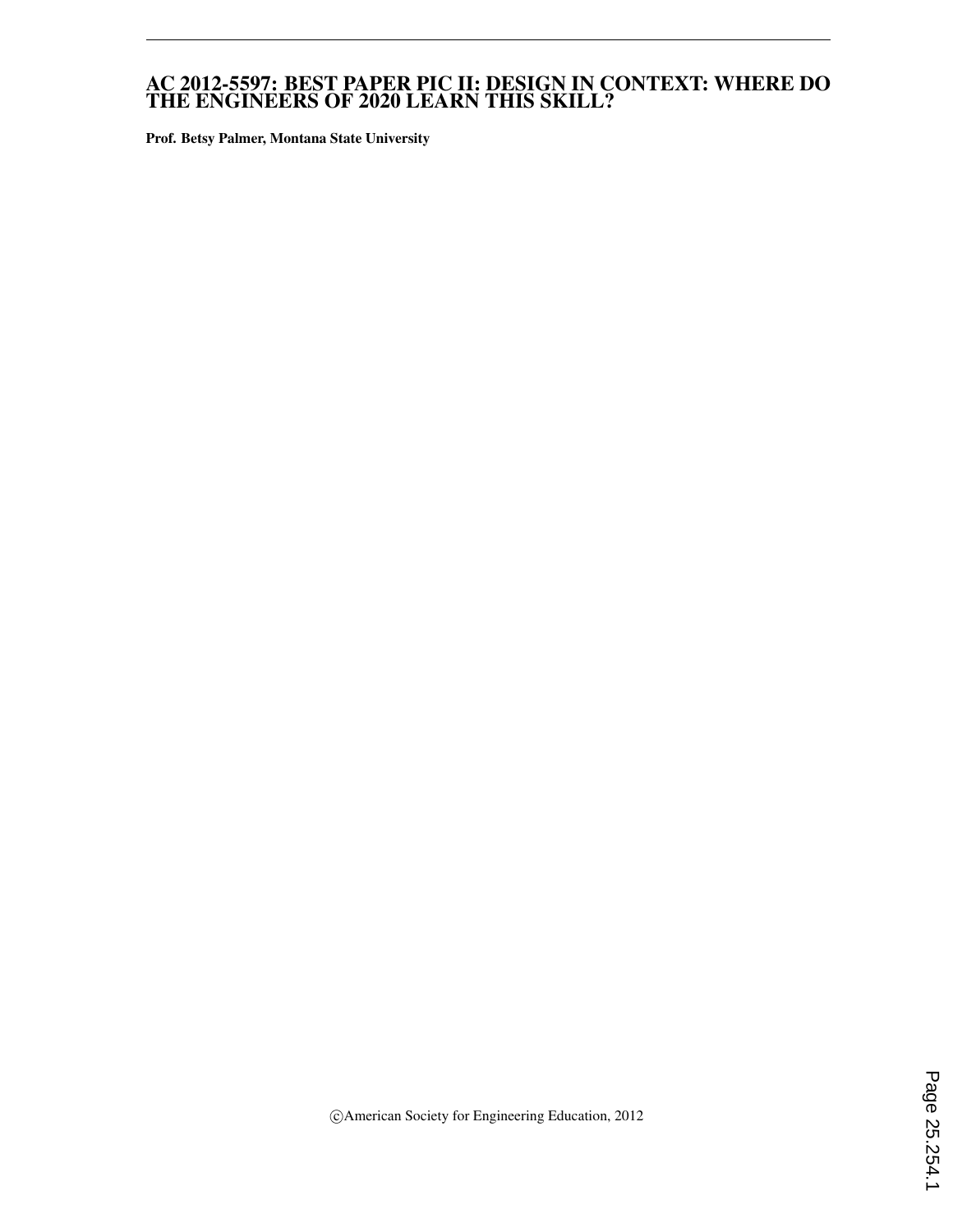### AC 2012-5597: BEST PAPER PIC II: DESIGN IN CONTEXT: WHERE DO THE ENGINEERS OF 2020 LEARN THIS SKILL?

Prof. Betsy Palmer, Montana State University

c American Society for Engineering Education, 2012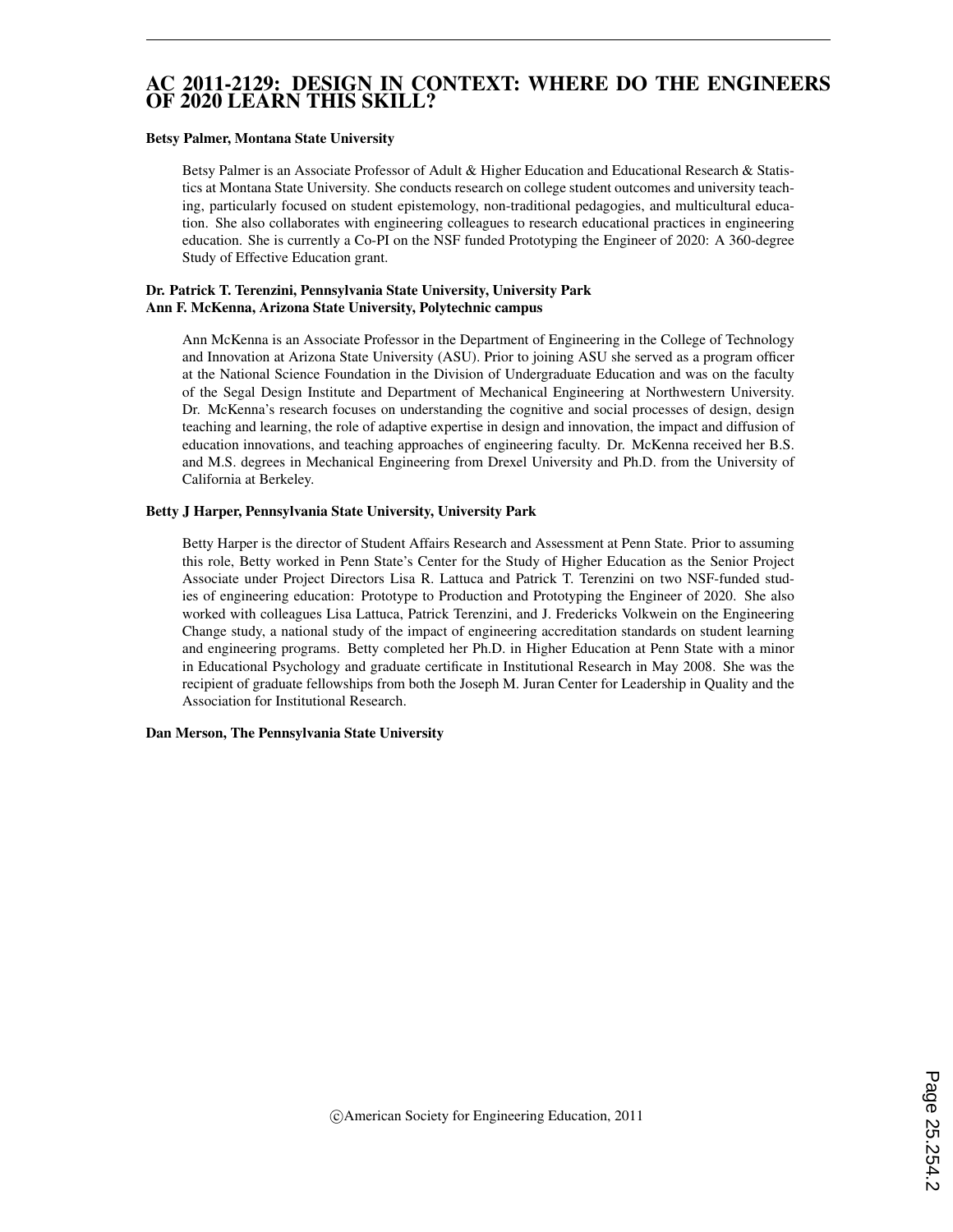## AC 2011-2129: DESIGN IN CONTEXT: WHERE DO THE ENGINEERS OF 2020 LEARN THIS SKILL?

#### Betsy Palmer, Montana State University

Betsy Palmer is an Associate Professor of Adult & Higher Education and Educational Research & Statistics at Montana State University. She conducts research on college student outcomes and university teaching, particularly focused on student epistemology, non-traditional pedagogies, and multicultural education. She also collaborates with engineering colleagues to research educational practices in engineering education. She is currently a Co-PI on the NSF funded Prototyping the Engineer of 2020: A 360-degree Study of Effective Education grant.

### Dr. Patrick T. Terenzini, Pennsylvania State University, University Park Ann F. McKenna, Arizona State University, Polytechnic campus

Ann McKenna is an Associate Professor in the Department of Engineering in the College of Technology and Innovation at Arizona State University (ASU). Prior to joining ASU she served as a program officer at the National Science Foundation in the Division of Undergraduate Education and was on the faculty of the Segal Design Institute and Department of Mechanical Engineering at Northwestern University. Dr. McKenna's research focuses on understanding the cognitive and social processes of design, design teaching and learning, the role of adaptive expertise in design and innovation, the impact and diffusion of education innovations, and teaching approaches of engineering faculty. Dr. McKenna received her B.S. and M.S. degrees in Mechanical Engineering from Drexel University and Ph.D. from the University of California at Berkeley.

#### Betty J Harper, Pennsylvania State University, University Park

Betty Harper is the director of Student Affairs Research and Assessment at Penn State. Prior to assuming this role, Betty worked in Penn State's Center for the Study of Higher Education as the Senior Project Associate under Project Directors Lisa R. Lattuca and Patrick T. Terenzini on two NSF-funded studies of engineering education: Prototype to Production and Prototyping the Engineer of 2020. She also worked with colleagues Lisa Lattuca, Patrick Terenzini, and J. Fredericks Volkwein on the Engineering Change study, a national study of the impact of engineering accreditation standards on student learning and engineering programs. Betty completed her Ph.D. in Higher Education at Penn State with a minor in Educational Psychology and graduate certificate in Institutional Research in May 2008. She was the recipient of graduate fellowships from both the Joseph M. Juran Center for Leadership in Quality and the Association for Institutional Research.

#### Dan Merson, The Pennsylvania State University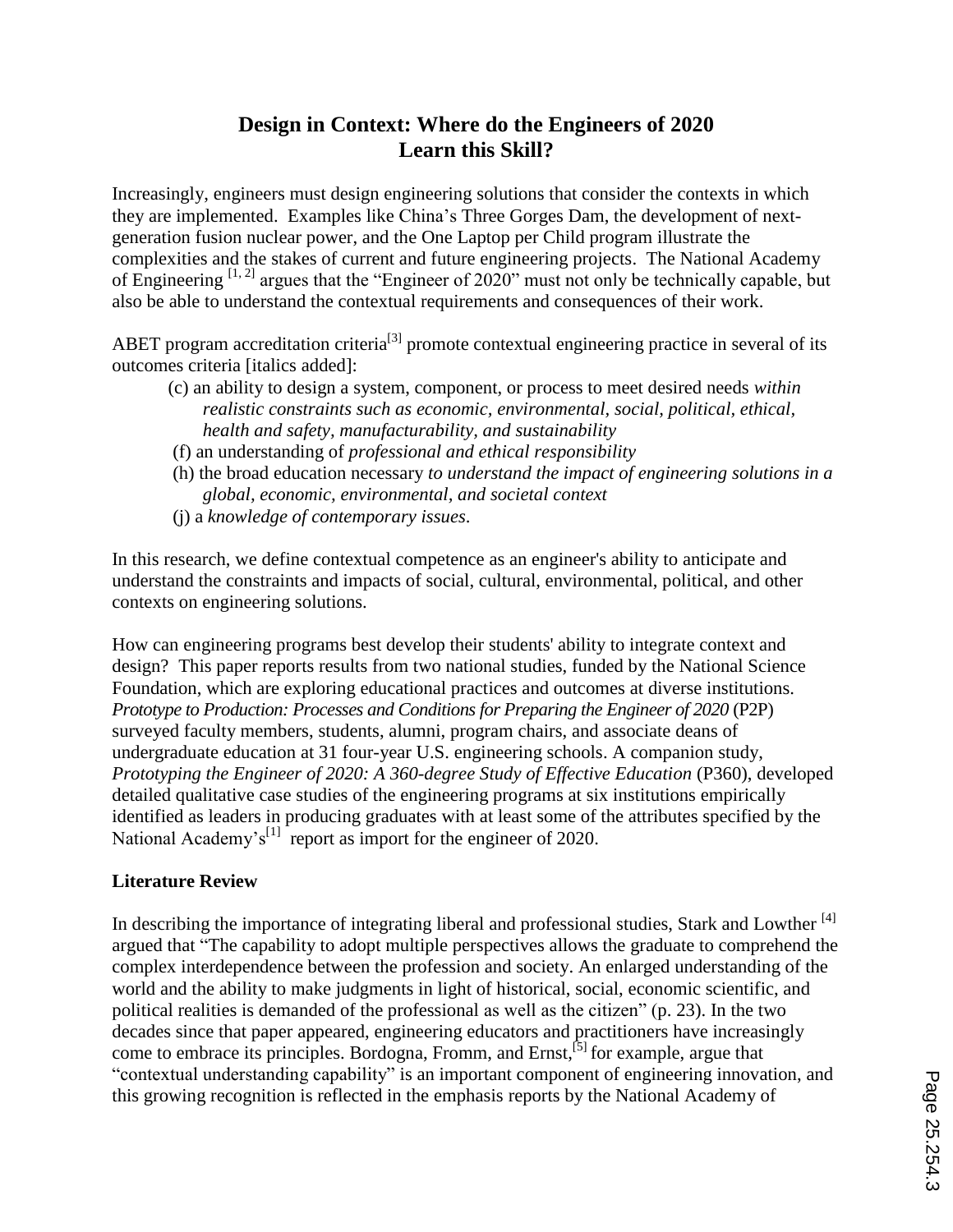# **Design in Context: Where do the Engineers of 2020 Learn this Skill?**

Increasingly, engineers must design engineering solutions that consider the contexts in which they are implemented. Examples like China"s Three Gorges Dam, the development of nextgeneration fusion nuclear power, and the One Laptop per Child program illustrate the complexities and the stakes of current and future engineering projects. The National Academy of Engineering [1, 2] argues that the "Engineer of 2020" must not only be technically capable, but also be able to understand the contextual requirements and consequences of their work.

ABET program accreditation criteria<sup>[3]</sup> promote contextual engineering practice in several of its outcomes criteria [italics added]:

- (c) an ability to design a system, component, or process to meet desired needs *within realistic constraints such as economic, environmental, social, political, ethical, health and safety, manufacturability, and sustainability*
- (f) an understanding of *professional and ethical responsibility*
- (h) the broad education necessary *to understand the impact of engineering solutions in a global, economic, environmental, and societal context*
- (j) a *knowledge of contemporary issues*.

In this research, we define contextual competence as an engineer's ability to anticipate and understand the constraints and impacts of social, cultural, environmental, political, and other contexts on engineering solutions.

How can engineering programs best develop their students' ability to integrate context and design? This paper reports results from two national studies, funded by the National Science Foundation, which are exploring educational practices and outcomes at diverse institutions. *Prototype to Production: Processes and Conditions for Preparing the Engineer of 2020* (P2P) surveyed faculty members, students, alumni, program chairs, and associate deans of undergraduate education at 31 four-year U.S. engineering schools. A companion study, *Prototyping the Engineer of 2020: A 360-degree Study of Effective Education (P360), developed* detailed qualitative case studies of the engineering programs at six institutions empirically identified as leaders in producing graduates with at least some of the attributes specified by the National Academy's<sup>[1]</sup> report as import for the engineer of 2020.

### **Literature Review**

In describing the importance of integrating liberal and professional studies, Stark and Lowther <sup>[4]</sup> argued that "The capability to adopt multiple perspectives allows the graduate to comprehend the complex interdependence between the profession and society. An enlarged understanding of the world and the ability to make judgments in light of historical, social, economic scientific, and political realities is demanded of the professional as well as the citizen" (p. 23). In the two decades since that paper appeared, engineering educators and practitioners have increasingly come to embrace its principles. Bordogna, Fromm, and Ernst,<sup>[5]</sup> for example, argue that "contextual understanding capability" is an important component of engineering innovation, and this growing recognition is reflected in the emphasis reports by the National Academy of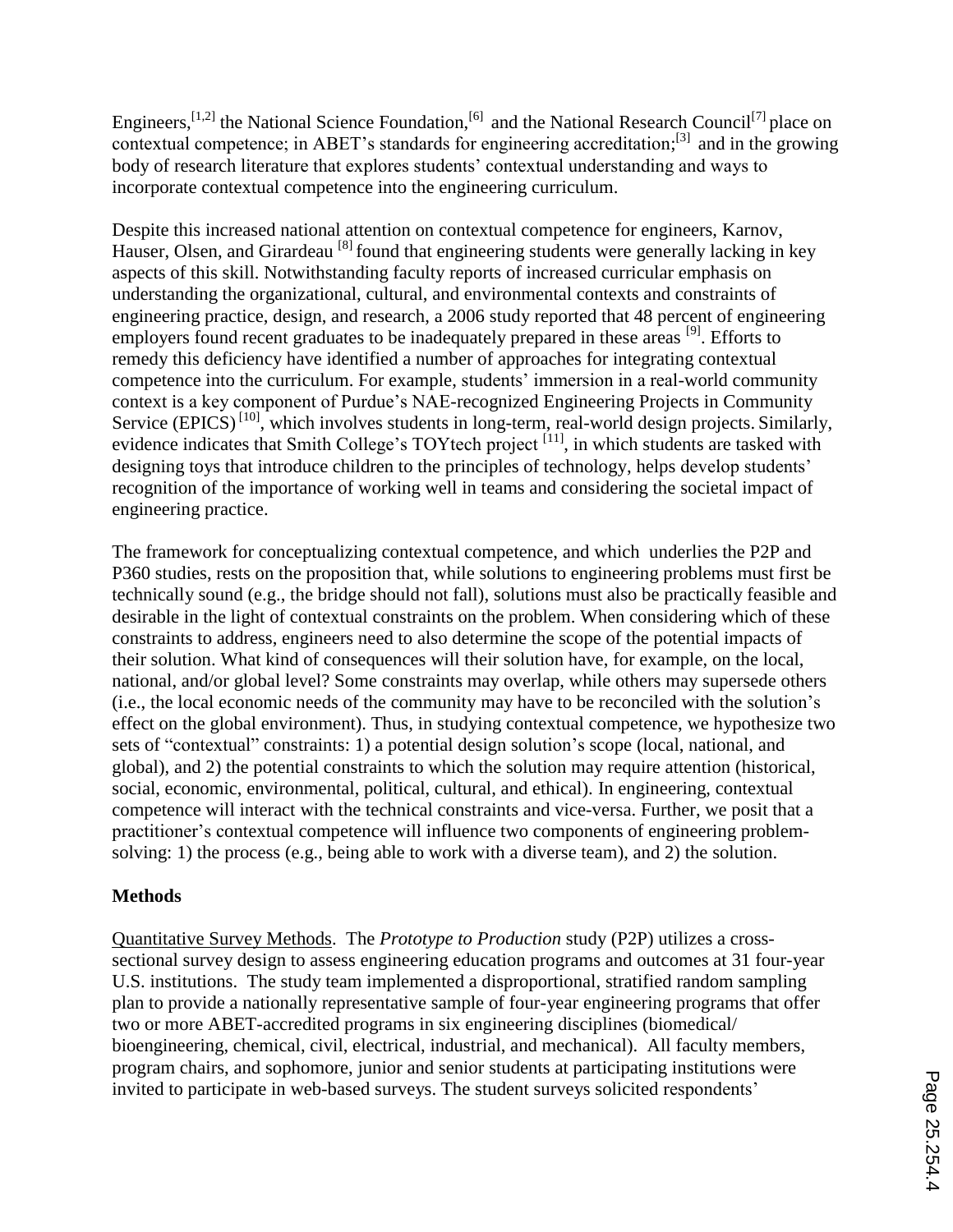Engineers, [1,2] the National Science Foundation, [6] and the National Research Council<sup>[7]</sup> place on contextual competence; in ABET's standards for engineering accreditation; $^{[3]}$  and in the growing body of research literature that explores students' contextual understanding and ways to incorporate contextual competence into the engineering curriculum.

Despite this increased national attention on contextual competence for engineers, Karnov, Hauser, Olsen, and Girardeau<sup>[8]</sup> found that engineering students were generally lacking in key aspects of this skill. Notwithstanding faculty reports of increased curricular emphasis on understanding the organizational, cultural, and environmental contexts and constraints of engineering practice, design, and research, a 2006 study reported that 48 percent of engineering employers found recent graduates to be inadequately prepared in these areas [9]. Efforts to remedy this deficiency have identified a number of approaches for integrating contextual competence into the curriculum. For example, students' immersion in a real-world community context is a key component of Purdue"s NAE-recognized Engineering Projects in Community Service  $(EPICS)^{[10]}$ , which involves students in long-term, real-world design projects. Similarly, evidence indicates that Smith College's TOYtech project<sup>[11]</sup>, in which students are tasked with designing toys that introduce children to the principles of technology, helps develop students' recognition of the importance of working well in teams and considering the societal impact of engineering practice.

The framework for conceptualizing contextual competence, and which underlies the P2P and P360 studies, rests on the proposition that, while solutions to engineering problems must first be technically sound (e.g., the bridge should not fall), solutions must also be practically feasible and desirable in the light of contextual constraints on the problem. When considering which of these constraints to address, engineers need to also determine the scope of the potential impacts of their solution. What kind of consequences will their solution have, for example, on the local, national, and/or global level? Some constraints may overlap, while others may supersede others (i.e., the local economic needs of the community may have to be reconciled with the solution"s effect on the global environment). Thus, in studying contextual competence, we hypothesize two sets of "contextual" constraints: 1) a potential design solution"s scope (local, national, and global), and 2) the potential constraints to which the solution may require attention (historical, social, economic, environmental, political, cultural, and ethical). In engineering, contextual competence will interact with the technical constraints and vice-versa. Further, we posit that a practitioner"s contextual competence will influence two components of engineering problemsolving: 1) the process (e.g., being able to work with a diverse team), and 2) the solution.

## **Methods**

Quantitative Survey Methods. The *Prototype to Production* study (P2P) utilizes a crosssectional survey design to assess engineering education programs and outcomes at 31 four-year U.S. institutions. The study team implemented a disproportional, stratified random sampling plan to provide a nationally representative sample of four-year engineering programs that offer two or more ABET-accredited programs in six engineering disciplines (biomedical/ bioengineering, chemical, civil, electrical, industrial, and mechanical). All faculty members, program chairs, and sophomore, junior and senior students at participating institutions were invited to participate in web-based surveys. The student surveys solicited respondents'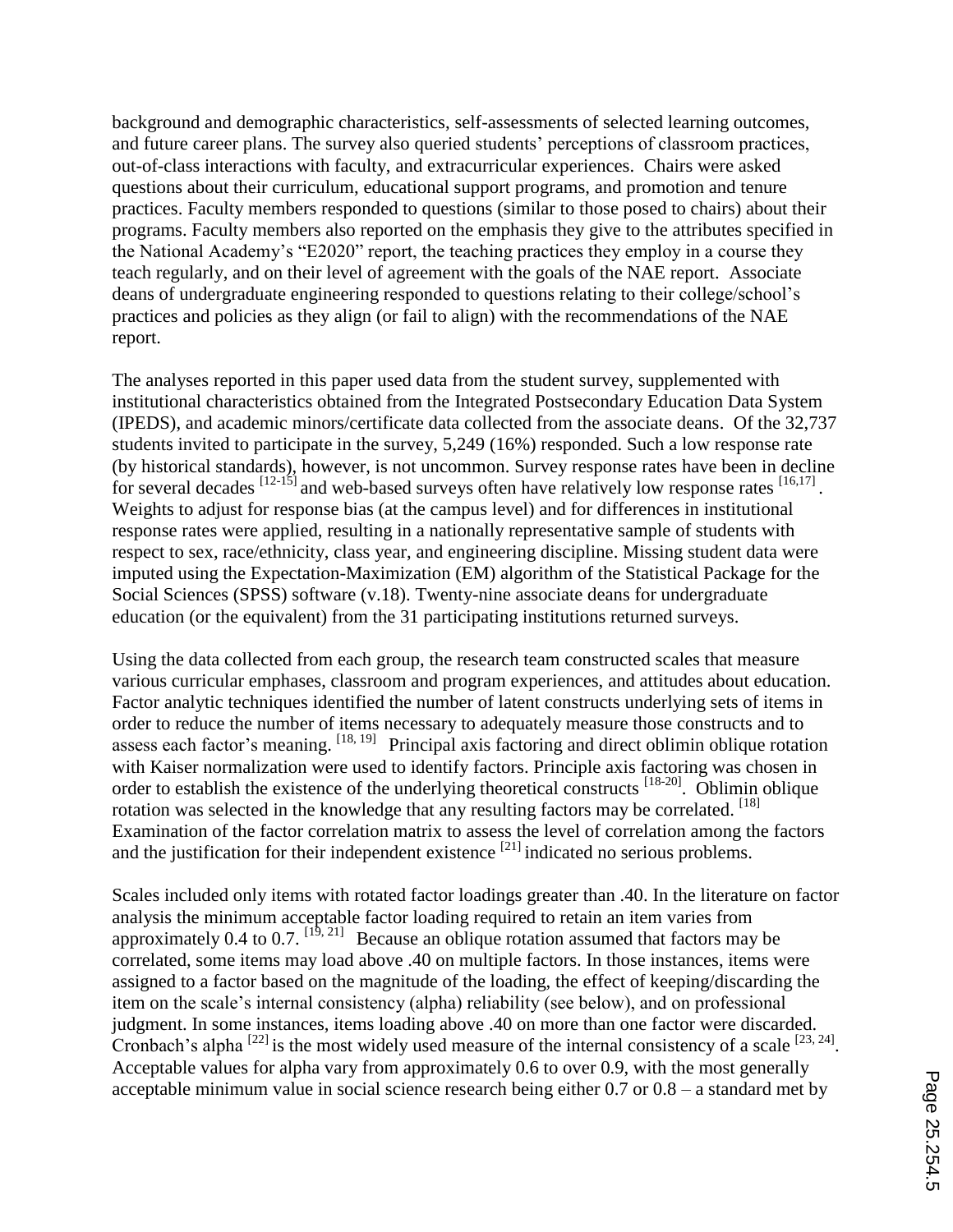background and demographic characteristics, self-assessments of selected learning outcomes, and future career plans. The survey also queried students" perceptions of classroom practices, out-of-class interactions with faculty, and extracurricular experiences. Chairs were asked questions about their curriculum, educational support programs, and promotion and tenure practices. Faculty members responded to questions (similar to those posed to chairs) about their programs. Faculty members also reported on the emphasis they give to the attributes specified in the National Academy"s "E2020" report, the teaching practices they employ in a course they teach regularly, and on their level of agreement with the goals of the NAE report. Associate deans of undergraduate engineering responded to questions relating to their college/school"s practices and policies as they align (or fail to align) with the recommendations of the NAE report.

The analyses reported in this paper used data from the student survey, supplemented with institutional characteristics obtained from the Integrated Postsecondary Education Data System (IPEDS), and academic minors/certificate data collected from the associate deans. Of the 32,737 students invited to participate in the survey, 5,249 (16%) responded. Such a low response rate (by historical standards), however, is not uncommon. Survey response rates have been in decline for several decades  $\frac{[12-15]}{]}$  and web-based surveys often have relatively low response rates  $\frac{[16,17]}{]}$ . Weights to adjust for response bias (at the campus level) and for differences in institutional response rates were applied, resulting in a nationally representative sample of students with respect to sex, race/ethnicity, class year, and engineering discipline. Missing student data were imputed using the Expectation-Maximization (EM) algorithm of the Statistical Package for the Social Sciences (SPSS) software (v.18). Twenty-nine associate deans for undergraduate education (or the equivalent) from the 31 participating institutions returned surveys.

Using the data collected from each group, the research team constructed scales that measure various curricular emphases, classroom and program experiences, and attitudes about education. Factor analytic techniques identified the number of latent constructs underlying sets of items in order to reduce the number of items necessary to adequately measure those constructs and to assess each factor's meaning.  $^{[18, 19]}$  Principal axis factoring and direct oblimin oblique rotation with Kaiser normalization were used to identify factors. Principle axis factoring was chosen in order to establish the existence of the underlying theoretical constructs <sup>[18-20]</sup>. Oblimin oblique rotation was selected in the knowledge that any resulting factors may be correlated. [18] Examination of the factor correlation matrix to assess the level of correlation among the factors and the justification for their independent existence  $^{[21]}$  indicated no serious problems.

Scales included only items with rotated factor loadings greater than .40. In the literature on factor analysis the minimum acceptable factor loading required to retain an item varies from approximately 0.4 to 0.7.  $[1^{\overline{9}, 21]}$  Because an oblique rotation assumed that factors may be correlated, some items may load above .40 on multiple factors. In those instances, items were assigned to a factor based on the magnitude of the loading, the effect of keeping/discarding the item on the scale"s internal consistency (alpha) reliability (see below), and on professional judgment. In some instances, items loading above .40 on more than one factor were discarded. Cronbach's alpha  $^{[22]}$  is the most widely used measure of the internal consistency of a scale  $^{[23, 24]}$ . Acceptable values for alpha vary from approximately 0.6 to over 0.9, with the most generally acceptable minimum value in social science research being either 0.7 or 0.8 – a standard met by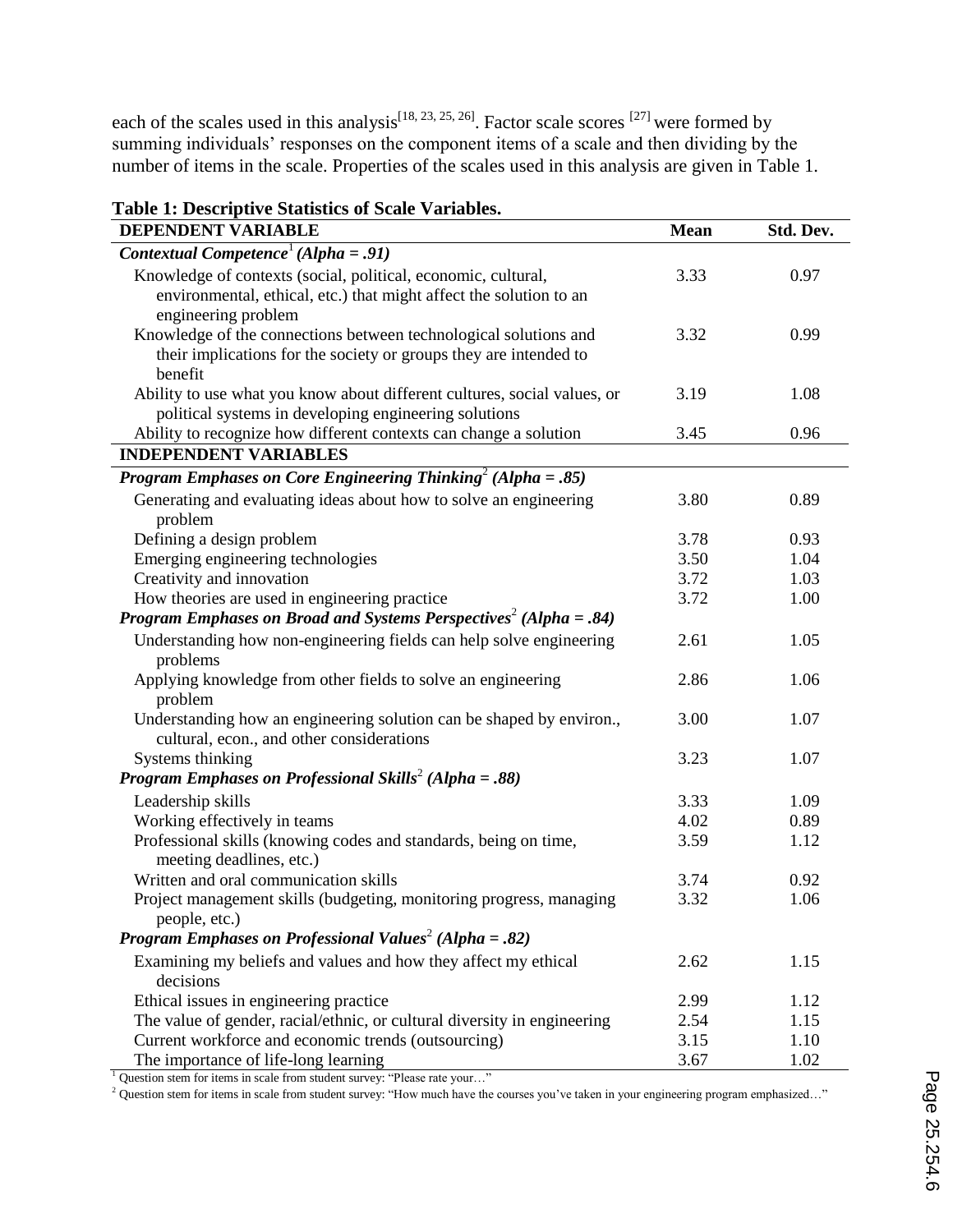each of the scales used in this analysis<sup>[18, 23, 25, 26]</sup>. Factor scale scores <sup>[27]</sup> were formed by summing individuals' responses on the component items of a scale and then dividing by the number of items in the scale. Properties of the scales used in this analysis are given in Table 1.

| <b>DEPENDENT VARIABLE</b>                                                                                                                                  | <b>Mean</b> | Std. Dev. |
|------------------------------------------------------------------------------------------------------------------------------------------------------------|-------------|-----------|
| Contextual Competence <sup>1</sup> (Alpha = .91)                                                                                                           |             |           |
| Knowledge of contexts (social, political, economic, cultural,<br>environmental, ethical, etc.) that might affect the solution to an<br>engineering problem | 3.33        | 0.97      |
| Knowledge of the connections between technological solutions and<br>their implications for the society or groups they are intended to<br>benefit           | 3.32        | 0.99      |
| Ability to use what you know about different cultures, social values, or<br>political systems in developing engineering solutions                          | 3.19        | 1.08      |
| Ability to recognize how different contexts can change a solution                                                                                          | 3.45        | 0.96      |
| <b>INDEPENDENT VARIABLES</b>                                                                                                                               |             |           |
| <b>Program Emphases on Core Engineering Thinking</b> <sup>2</sup> (Alpha = .85)                                                                            |             |           |
| Generating and evaluating ideas about how to solve an engineering<br>problem                                                                               | 3.80        | 0.89      |
| Defining a design problem                                                                                                                                  | 3.78        | 0.93      |
| Emerging engineering technologies                                                                                                                          | 3.50        | 1.04      |
| Creativity and innovation                                                                                                                                  | 3.72        | 1.03      |
| How theories are used in engineering practice                                                                                                              | 3.72        | 1.00      |
| <b>Program Emphases on Broad and Systems Perspectives</b> <sup>2</sup> (Alpha = .84)                                                                       |             |           |
| Understanding how non-engineering fields can help solve engineering<br>problems                                                                            | 2.61        | 1.05      |
| Applying knowledge from other fields to solve an engineering<br>problem                                                                                    | 2.86        | 1.06      |
| Understanding how an engineering solution can be shaped by environ.,<br>cultural, econ., and other considerations                                          | 3.00        | 1.07      |
| Systems thinking                                                                                                                                           | 3.23        | 1.07      |
| <b>Program Emphases on Professional Skills<sup>2</sup></b> (Alpha = .88)                                                                                   |             |           |
| Leadership skills                                                                                                                                          | 3.33        | 1.09      |
| Working effectively in teams                                                                                                                               | 4.02        | 0.89      |
| Professional skills (knowing codes and standards, being on time,<br>meeting deadlines, etc.)                                                               | 3.59        | 1.12      |
| Written and oral communication skills                                                                                                                      | 3.74        | 0.92      |
| Project management skills (budgeting, monitoring progress, managing<br>people, etc.)                                                                       | 3.32        | 1.06      |
| <b>Program Emphases on Professional Values<sup>2</sup></b> (Alpha = .82)                                                                                   |             |           |
| Examining my beliefs and values and how they affect my ethical<br>decisions                                                                                | 2.62        | 1.15      |
| Ethical issues in engineering practice                                                                                                                     | 2.99        | 1.12      |
| The value of gender, racial/ethnic, or cultural diversity in engineering                                                                                   | 2.54        | 1.15      |
| Current workforce and economic trends (outsourcing)                                                                                                        | 3.15        | 1.10      |
| The importance of life-long learning                                                                                                                       | 3.67        | 1.02      |

**Table 1: Descriptive Statistics of Scale Variables.**

<sup>1</sup> Question stem for items in scale from student survey: "Please rate your..."

<sup>2</sup> Question stem for items in scale from student survey: "How much have the courses you've taken in your engineering program emphasized..."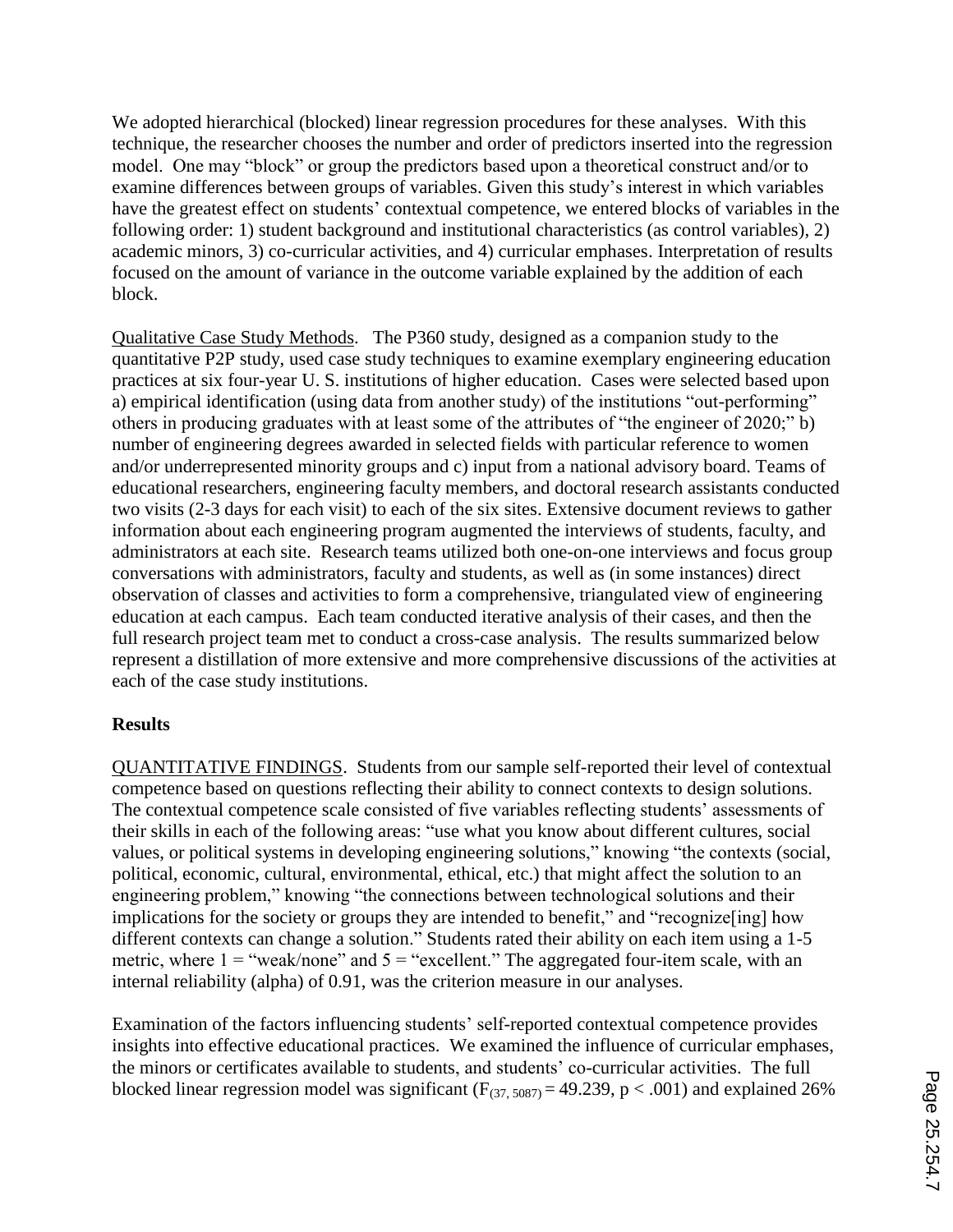We adopted hierarchical (blocked) linear regression procedures for these analyses. With this technique, the researcher chooses the number and order of predictors inserted into the regression model. One may "block" or group the predictors based upon a theoretical construct and/or to examine differences between groups of variables. Given this study"s interest in which variables have the greatest effect on students' contextual competence, we entered blocks of variables in the following order: 1) student background and institutional characteristics (as control variables), 2) academic minors, 3) co-curricular activities, and 4) curricular emphases. Interpretation of results focused on the amount of variance in the outcome variable explained by the addition of each block.

Qualitative Case Study Methods. The P360 study, designed as a companion study to the quantitative P2P study, used case study techniques to examine exemplary engineering education practices at six four-year U. S. institutions of higher education. Cases were selected based upon a) empirical identification (using data from another study) of the institutions "out-performing" others in producing graduates with at least some of the attributes of "the engineer of 2020;" b) number of engineering degrees awarded in selected fields with particular reference to women and/or underrepresented minority groups and c) input from a national advisory board. Teams of educational researchers, engineering faculty members, and doctoral research assistants conducted two visits (2-3 days for each visit) to each of the six sites. Extensive document reviews to gather information about each engineering program augmented the interviews of students, faculty, and administrators at each site. Research teams utilized both one-on-one interviews and focus group conversations with administrators, faculty and students, as well as (in some instances) direct observation of classes and activities to form a comprehensive, triangulated view of engineering education at each campus. Each team conducted iterative analysis of their cases, and then the full research project team met to conduct a cross-case analysis. The results summarized below represent a distillation of more extensive and more comprehensive discussions of the activities at each of the case study institutions.

## **Results**

QUANTITATIVE FINDINGS. Students from our sample self-reported their level of contextual competence based on questions reflecting their ability to connect contexts to design solutions. The contextual competence scale consisted of five variables reflecting students' assessments of their skills in each of the following areas: "use what you know about different cultures, social values, or political systems in developing engineering solutions," knowing "the contexts (social, political, economic, cultural, environmental, ethical, etc.) that might affect the solution to an engineering problem," knowing "the connections between technological solutions and their implications for the society or groups they are intended to benefit," and "recognize[ing] how different contexts can change a solution." Students rated their ability on each item using a 1-5 metric, where  $1 =$  "weak/none" and  $5 =$  "excellent." The aggregated four-item scale, with an internal reliability (alpha) of 0.91, was the criterion measure in our analyses.

Examination of the factors influencing students' self-reported contextual competence provides insights into effective educational practices. We examined the influence of curricular emphases, the minors or certificates available to students, and students' co-curricular activities. The full blocked linear regression model was significant ( $F_{(37, 5087)} = 49.239$ , p < .001) and explained 26%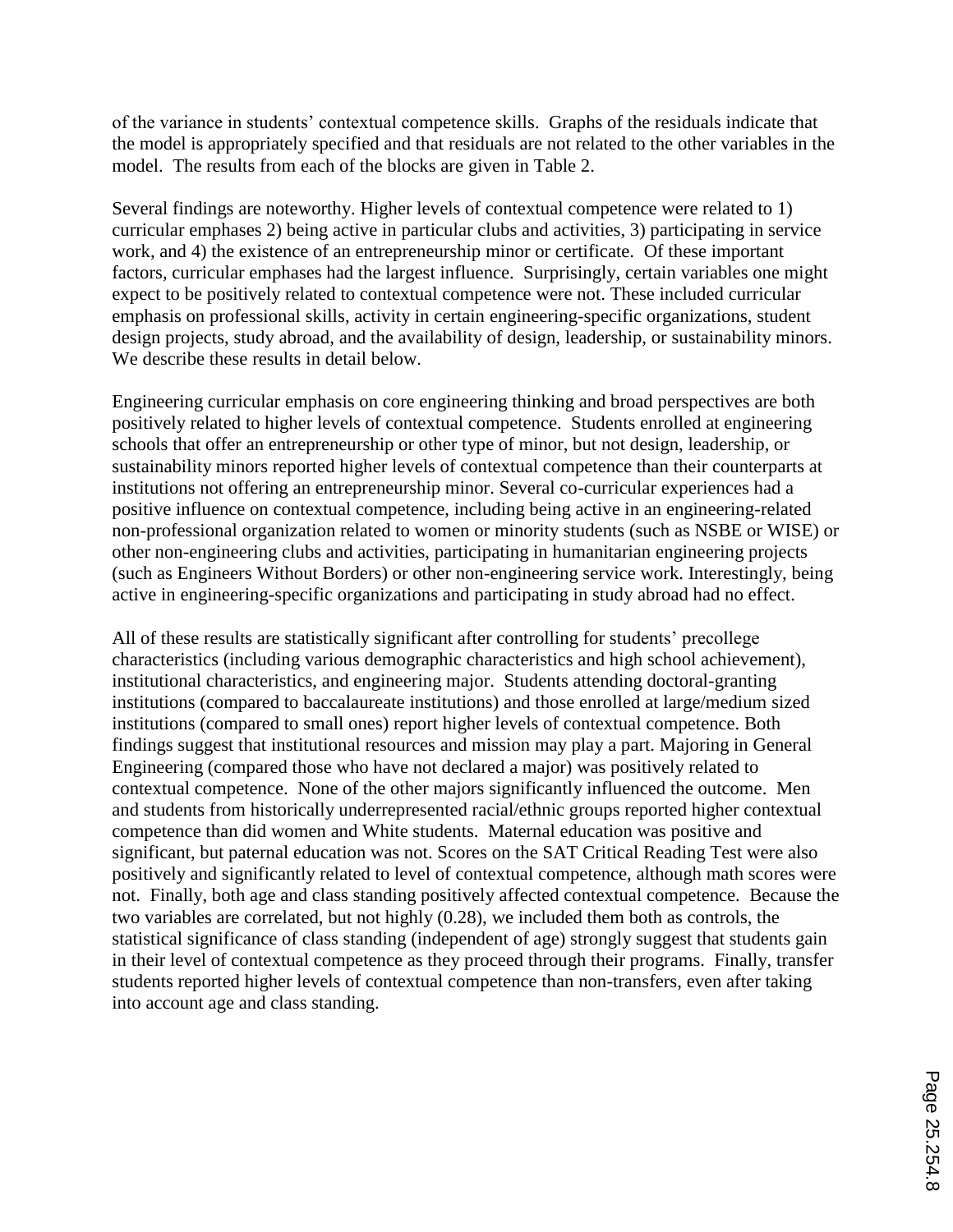of the variance in students" contextual competence skills. Graphs of the residuals indicate that the model is appropriately specified and that residuals are not related to the other variables in the model. The results from each of the blocks are given in Table 2.

Several findings are noteworthy. Higher levels of contextual competence were related to 1) curricular emphases 2) being active in particular clubs and activities, 3) participating in service work, and 4) the existence of an entrepreneurship minor or certificate. Of these important factors, curricular emphases had the largest influence. Surprisingly, certain variables one might expect to be positively related to contextual competence were not. These included curricular emphasis on professional skills, activity in certain engineering-specific organizations, student design projects, study abroad, and the availability of design, leadership, or sustainability minors. We describe these results in detail below.

Engineering curricular emphasis on core engineering thinking and broad perspectives are both positively related to higher levels of contextual competence. Students enrolled at engineering schools that offer an entrepreneurship or other type of minor, but not design, leadership, or sustainability minors reported higher levels of contextual competence than their counterparts at institutions not offering an entrepreneurship minor. Several co-curricular experiences had a positive influence on contextual competence, including being active in an engineering-related non-professional organization related to women or minority students (such as NSBE or WISE) or other non-engineering clubs and activities, participating in humanitarian engineering projects (such as Engineers Without Borders) or other non-engineering service work. Interestingly, being active in engineering-specific organizations and participating in study abroad had no effect.

All of these results are statistically significant after controlling for students' precollege characteristics (including various demographic characteristics and high school achievement), institutional characteristics, and engineering major. Students attending doctoral-granting institutions (compared to baccalaureate institutions) and those enrolled at large/medium sized institutions (compared to small ones) report higher levels of contextual competence. Both findings suggest that institutional resources and mission may play a part. Majoring in General Engineering (compared those who have not declared a major) was positively related to contextual competence. None of the other majors significantly influenced the outcome. Men and students from historically underrepresented racial/ethnic groups reported higher contextual competence than did women and White students. Maternal education was positive and significant, but paternal education was not. Scores on the SAT Critical Reading Test were also positively and significantly related to level of contextual competence, although math scores were not. Finally, both age and class standing positively affected contextual competence. Because the two variables are correlated, but not highly (0.28), we included them both as controls, the statistical significance of class standing (independent of age) strongly suggest that students gain in their level of contextual competence as they proceed through their programs. Finally, transfer students reported higher levels of contextual competence than non-transfers, even after taking into account age and class standing.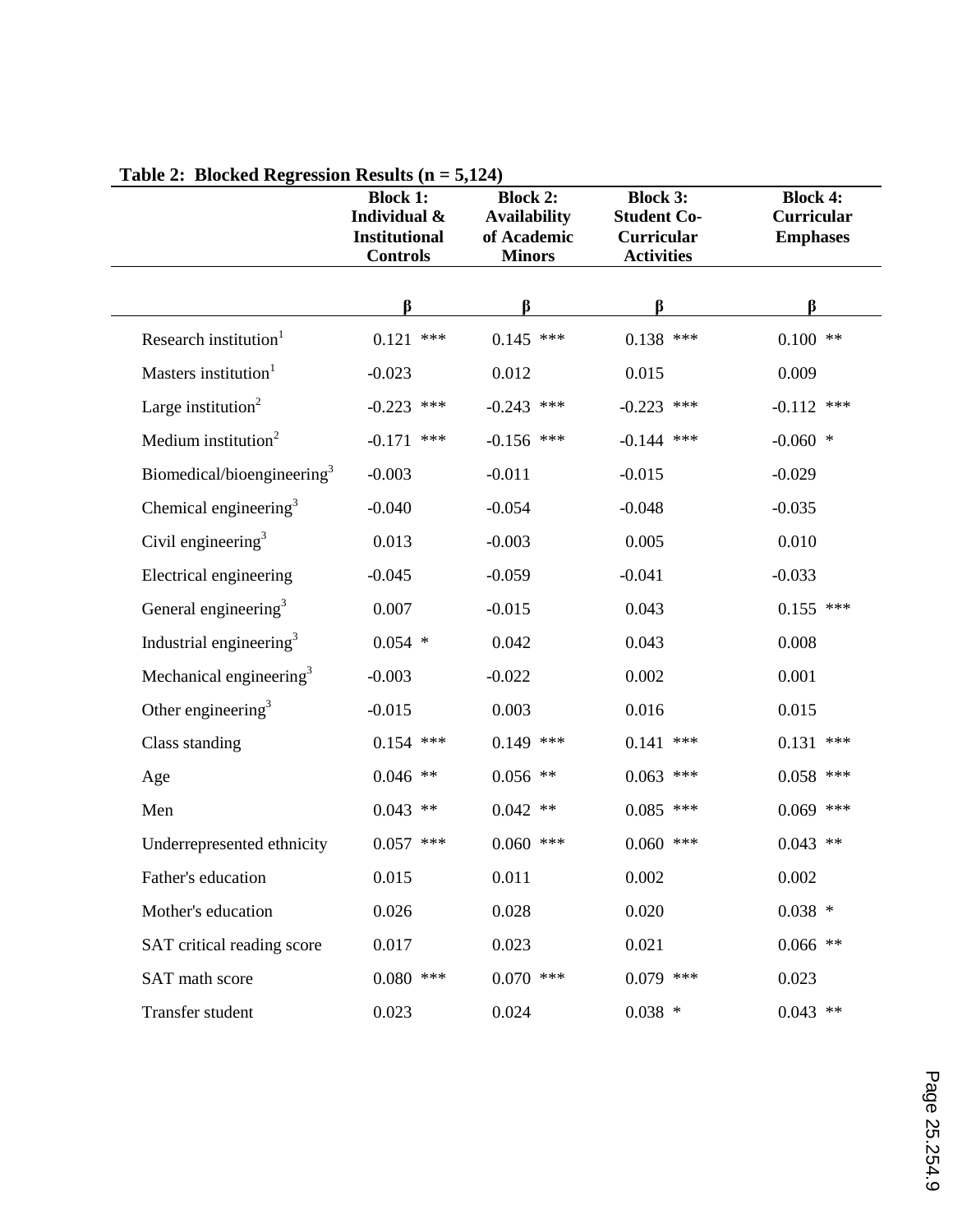|                                        | <b>Block 1:</b><br>Individual &<br><b>Institutional</b><br><b>Controls</b> | <b>Block 2:</b><br><b>Availability</b><br>of Academic<br><b>Minors</b> | <b>Block 3:</b><br><b>Student Co-</b><br>Curricular<br><b>Activities</b> | <b>Block 4:</b><br><b>Curricular</b><br><b>Emphases</b> |
|----------------------------------------|----------------------------------------------------------------------------|------------------------------------------------------------------------|--------------------------------------------------------------------------|---------------------------------------------------------|
|                                        | ß                                                                          | ß                                                                      | ß                                                                        | ß                                                       |
| Research institution <sup>1</sup>      | 0.121<br>***                                                               | $0.145$ ***                                                            | $0.138$ ***                                                              | $0.100$ **                                              |
| Masters institution <sup>1</sup>       | $-0.023$                                                                   | 0.012                                                                  | 0.015                                                                    | 0.009                                                   |
| Large institution $2$                  | $-0.223$<br>***                                                            | $-0.243$ ***                                                           | $-0.223$<br>$***$                                                        | $-0.112$ ***                                            |
| Medium institution <sup>2</sup>        | $-0.171$<br>***                                                            | $-0.156$ ***                                                           | $-0.144$<br>$***$                                                        | $-0.060$ *                                              |
| Biomedical/bioengineering <sup>3</sup> | $-0.003$                                                                   | $-0.011$                                                               | $-0.015$                                                                 | $-0.029$                                                |
| Chemical engineering <sup>3</sup>      | $-0.040$                                                                   | $-0.054$                                                               | $-0.048$                                                                 | $-0.035$                                                |
| Civil engineering $3$                  | 0.013                                                                      | $-0.003$                                                               | 0.005                                                                    | 0.010                                                   |
| Electrical engineering                 | $-0.045$                                                                   | $-0.059$                                                               | $-0.041$                                                                 | $-0.033$                                                |
| General engineering <sup>3</sup>       | 0.007                                                                      | $-0.015$                                                               | 0.043                                                                    | $0.155$ ***                                             |
| Industrial engineering <sup>3</sup>    | $0.054$ *                                                                  | 0.042                                                                  | 0.043                                                                    | 0.008                                                   |
| Mechanical engineering <sup>3</sup>    | $-0.003$                                                                   | $-0.022$                                                               | 0.002                                                                    | 0.001                                                   |
| Other engineering $3$                  | $-0.015$                                                                   | 0.003                                                                  | 0.016                                                                    | 0.015                                                   |
| Class standing                         | $0.154$ ***                                                                | $0.149$ ***                                                            | 0.141<br>***                                                             | 0.131<br>***                                            |
| Age                                    | $0.046$ **                                                                 | $0.056$ **                                                             | 0.063<br>***                                                             | 0.058<br>***                                            |
| Men                                    | $0.043$ **                                                                 | $0.042$ **                                                             | $0.085$ ***                                                              | $0.069$ ***                                             |
| Underrepresented ethnicity             | $0.057$ ***                                                                | $0.060$ ***                                                            | $0.060$ ***                                                              | $0.043$ **                                              |
| Father's education                     | 0.015                                                                      | 0.011                                                                  | 0.002                                                                    | 0.002                                                   |
| Mother's education                     | 0.026                                                                      | 0.028                                                                  | 0.020                                                                    | $0.038$ *                                               |
| SAT critical reading score             | 0.017                                                                      | 0.023                                                                  | 0.021                                                                    | $0.066$ **                                              |
| SAT math score                         | $0.080$ ***                                                                | $0.070$ ***                                                            | $0.079$ ***                                                              | 0.023                                                   |
| Transfer student                       | 0.023                                                                      | 0.024                                                                  | $0.038$ *                                                                | $0.043$ **                                              |

## **Table 2: Blocked Regression Results (n = 5,124)**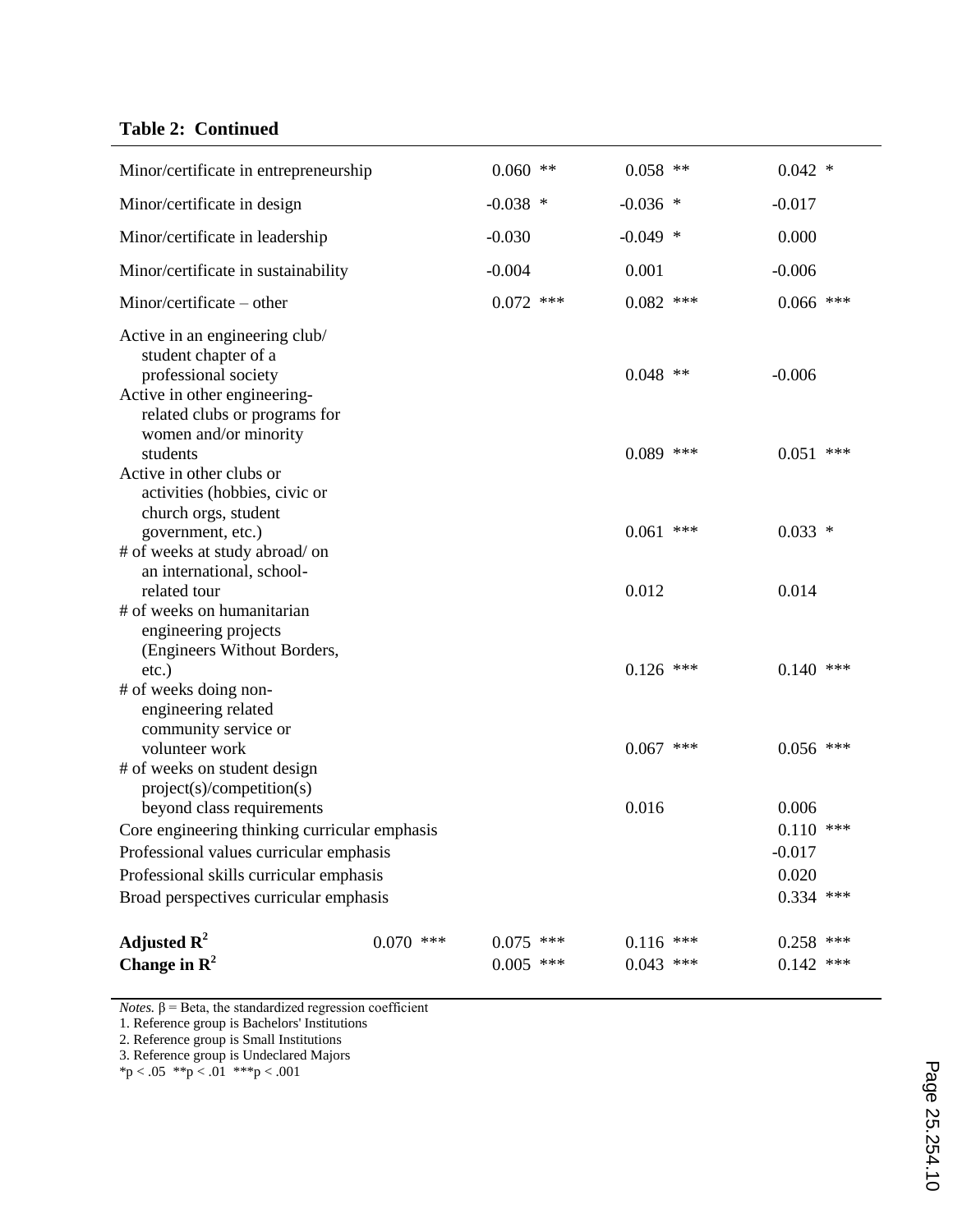## **Table 2: Continued**

| Minor/certificate in entrepreneurship                                                                                                           |             | $0.060$ **  | $0.058$ **  | $0.042$ *               |       |
|-------------------------------------------------------------------------------------------------------------------------------------------------|-------------|-------------|-------------|-------------------------|-------|
| Minor/certificate in design                                                                                                                     |             | $-0.038$ *  | $-0.036$ *  | $-0.017$                |       |
| Minor/certificate in leadership                                                                                                                 |             | $-0.030$    | $-0.049$ *  | 0.000                   |       |
| Minor/certificate in sustainability                                                                                                             |             | $-0.004$    | 0.001       | $-0.006$                |       |
| Minor/certificate – other                                                                                                                       |             | $0.072$ *** | $0.082$ *** | $0.066$ ***             |       |
| Active in an engineering club/<br>student chapter of a<br>professional society<br>Active in other engineering-<br>related clubs or programs for |             |             | $0.048$ **  | $-0.006$                |       |
| women and/or minority<br>students                                                                                                               |             |             | $0.089$ *** | 0.051                   | $***$ |
| Active in other clubs or<br>activities (hobbies, civic or<br>church orgs, student                                                               |             |             |             |                         |       |
| government, etc.)<br># of weeks at study abroad/ on<br>an international, school-                                                                |             |             | $0.061$ *** | $0.033$ *               |       |
| related tour                                                                                                                                    |             |             | 0.012       | 0.014                   |       |
| # of weeks on humanitarian<br>engineering projects<br>(Engineers Without Borders,                                                               |             |             |             |                         |       |
| etc.)<br># of weeks doing non-<br>engineering related<br>community service or                                                                   |             |             | $0.126$ *** | $0.140$ ***             |       |
| volunteer work                                                                                                                                  |             |             | $0.067$ *** | $0.056$ ***             |       |
| # of weeks on student design<br>project(s)/competition(s)                                                                                       |             |             |             |                         |       |
| beyond class requirements                                                                                                                       |             |             | 0.016       | 0.006                   |       |
| Core engineering thinking curricular emphasis                                                                                                   |             |             |             | $0.110$ ***<br>$-0.017$ |       |
| Professional values curricular emphasis<br>Professional skills curricular emphasis                                                              |             |             |             | 0.020                   |       |
| Broad perspectives curricular emphasis                                                                                                          |             |             |             | $0.334$ ***             |       |
|                                                                                                                                                 |             |             |             |                         |       |
| Adjusted $\mathbf{R}^2$                                                                                                                         | $0.070$ *** | $0.075$ *** | $0.116$ *** | $0.258$ ***             |       |
| Change in $\mathbb{R}^2$                                                                                                                        |             | $0.005$ *** | $0.043$ *** | $0.142$ ***             |       |

*Notes.*  $β = Beta$ , the standardized regression coefficient

1. Reference group is Bachelors' Institutions

2. Reference group is Small Institutions

3. Reference group is Undeclared Majors

 $*p < .05$   $*p < .01$   $**p < .001$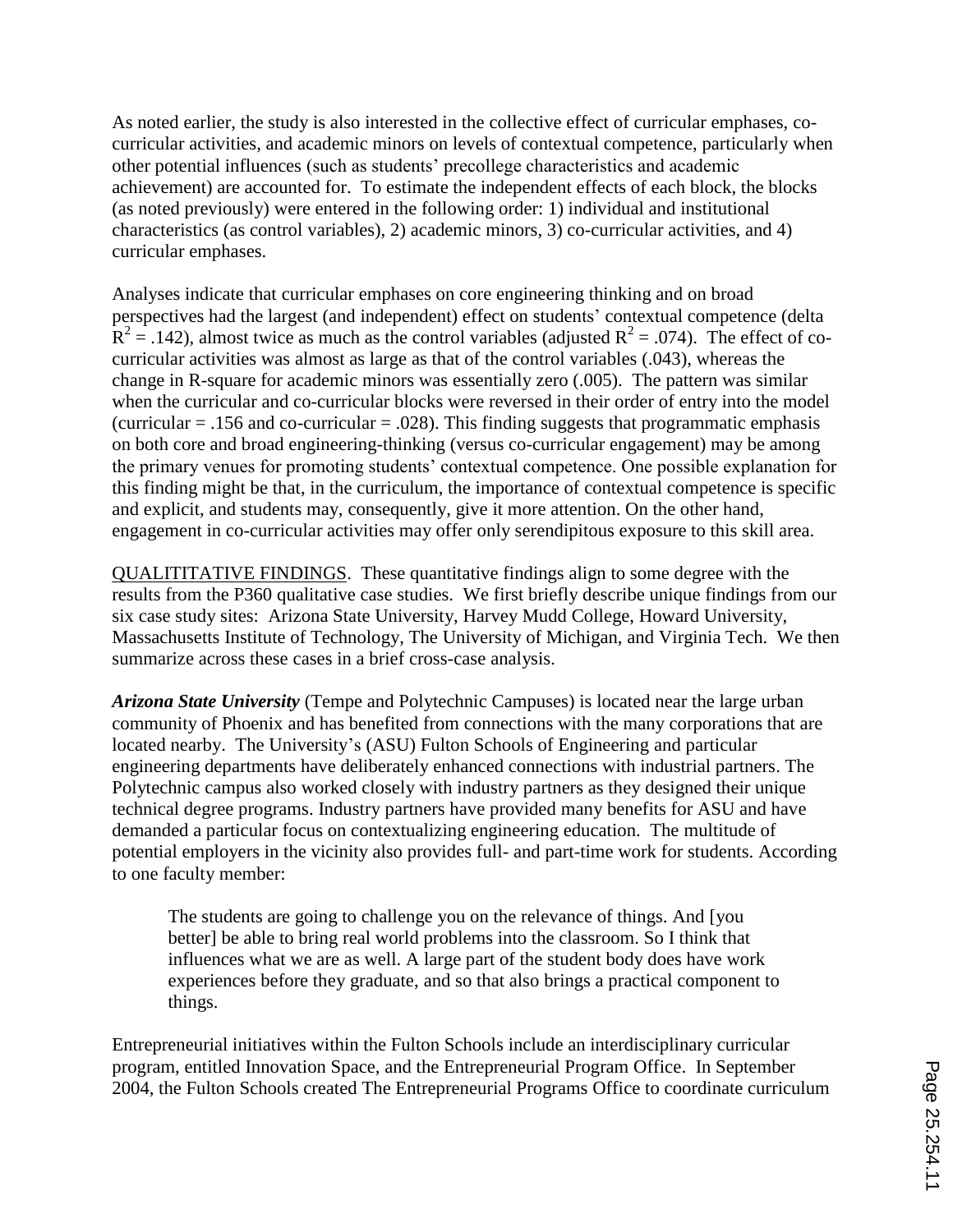As noted earlier, the study is also interested in the collective effect of curricular emphases, cocurricular activities, and academic minors on levels of contextual competence, particularly when other potential influences (such as students" precollege characteristics and academic achievement) are accounted for. To estimate the independent effects of each block, the blocks (as noted previously) were entered in the following order: 1) individual and institutional characteristics (as control variables), 2) academic minors, 3) co-curricular activities, and 4) curricular emphases.

Analyses indicate that curricular emphases on core engineering thinking and on broad perspectives had the largest (and independent) effect on students" contextual competence (delta  $R^2 = .142$ ), almost twice as much as the control variables (adjusted  $R^2 = .074$ ). The effect of cocurricular activities was almost as large as that of the control variables (.043), whereas the change in R-square for academic minors was essentially zero (.005). The pattern was similar when the curricular and co-curricular blocks were reversed in their order of entry into the model (curricular  $= .156$  and co-curricular  $= .028$ ). This finding suggests that programmatic emphasis on both core and broad engineering-thinking (versus co-curricular engagement) may be among the primary venues for promoting students" contextual competence. One possible explanation for this finding might be that, in the curriculum, the importance of contextual competence is specific and explicit, and students may, consequently, give it more attention. On the other hand, engagement in co-curricular activities may offer only serendipitous exposure to this skill area.

QUALITITATIVE FINDINGS. These quantitative findings align to some degree with the results from the P360 qualitative case studies. We first briefly describe unique findings from our six case study sites: Arizona State University, Harvey Mudd College, Howard University, Massachusetts Institute of Technology, The University of Michigan, and Virginia Tech. We then summarize across these cases in a brief cross-case analysis.

*Arizona State University* (Tempe and Polytechnic Campuses) is located near the large urban community of Phoenix and has benefited from connections with the many corporations that are located nearby. The University's (ASU) Fulton Schools of Engineering and particular engineering departments have deliberately enhanced connections with industrial partners. The Polytechnic campus also worked closely with industry partners as they designed their unique technical degree programs. Industry partners have provided many benefits for ASU and have demanded a particular focus on contextualizing engineering education. The multitude of potential employers in the vicinity also provides full- and part-time work for students. According to one faculty member:

The students are going to challenge you on the relevance of things. And [you better] be able to bring real world problems into the classroom. So I think that influences what we are as well. A large part of the student body does have work experiences before they graduate, and so that also brings a practical component to things.

Entrepreneurial initiatives within the Fulton Schools include an interdisciplinary curricular program, entitled Innovation Space, and the Entrepreneurial Program Office. In September 2004, the Fulton Schools created The Entrepreneurial Programs Office to coordinate curriculum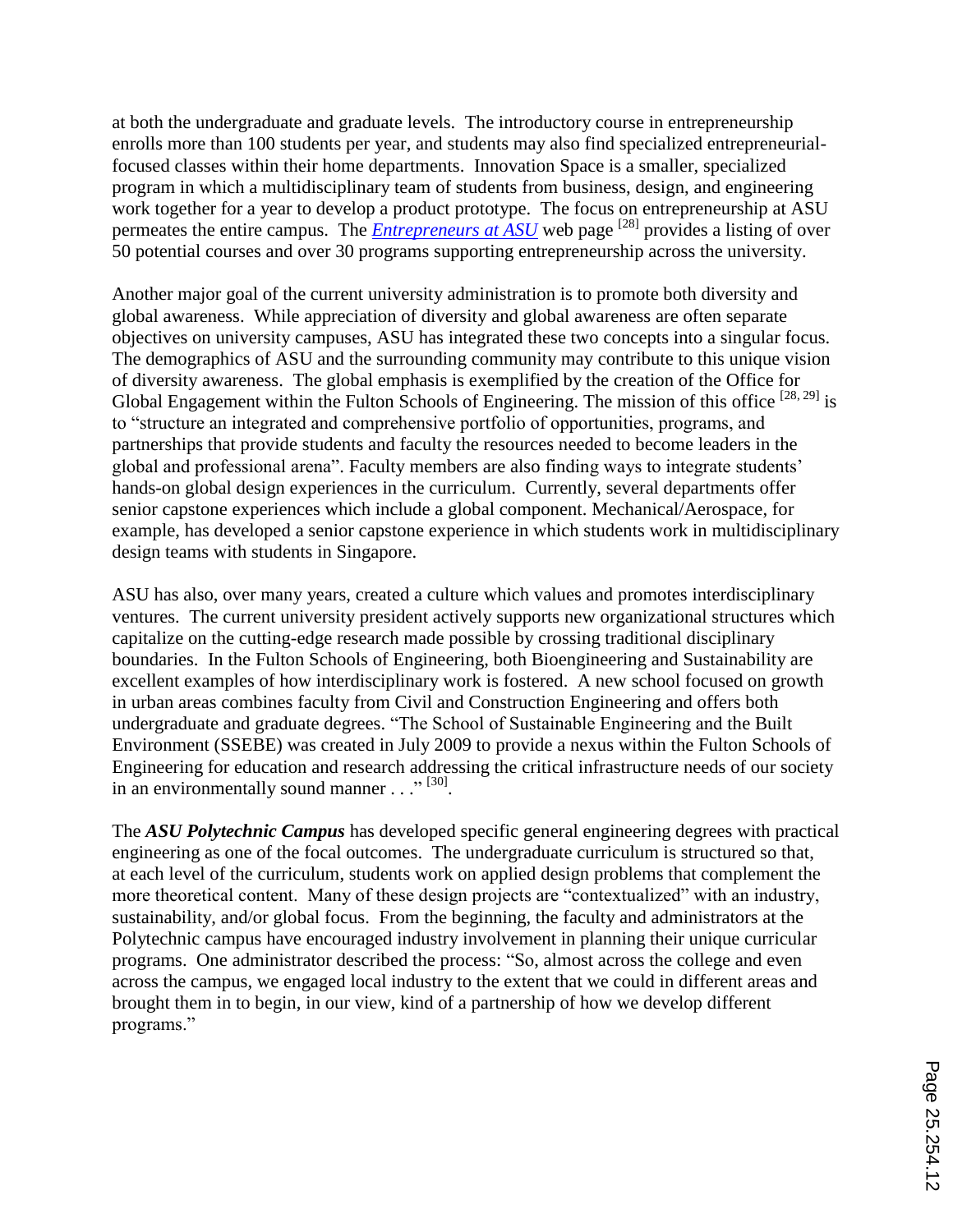at both the undergraduate and graduate levels. The introductory course in entrepreneurship enrolls more than 100 students per year, and students may also find specialized entrepreneurialfocused classes within their home departments. Innovation Space is a smaller, specialized program in which a multidisciplinary team of students from business, design, and engineering work together for a year to develop a product prototype. The focus on entrepreneurship at ASU permeates the entire campus. The *Entrepreneurs at ASU* web page <sup>[28]</sup> provides a listing of over 50 potential courses and over 30 programs supporting entrepreneurship across the university.

Another major goal of the current university administration is to promote both diversity and global awareness. While appreciation of diversity and global awareness are often separate objectives on university campuses, ASU has integrated these two concepts into a singular focus. The demographics of ASU and the surrounding community may contribute to this unique vision of diversity awareness. The global emphasis is exemplified by the creation of the Office for Global Engagement within the Fulton Schools of Engineering. The mission of this office  $[28, 29]$  is to "structure an integrated and comprehensive portfolio of opportunities, programs, and partnerships that provide students and faculty the resources needed to become leaders in the global and professional arena". Faculty members are also finding ways to integrate students" hands-on global design experiences in the curriculum. Currently, several departments offer senior capstone experiences which include a global component. Mechanical/Aerospace, for example, has developed a senior capstone experience in which students work in multidisciplinary design teams with students in Singapore.

ASU has also, over many years, created a culture which values and promotes interdisciplinary ventures. The current university president actively supports new organizational structures which capitalize on the cutting-edge research made possible by crossing traditional disciplinary boundaries. In the Fulton Schools of Engineering, both Bioengineering and Sustainability are excellent examples of how interdisciplinary work is fostered. A new school focused on growth in urban areas combines faculty from Civil and Construction Engineering and offers both undergraduate and graduate degrees. "The School of Sustainable Engineering and the Built Environment (SSEBE) was created in July 2009 to provide a nexus within the Fulton Schools of Engineering for education and research addressing the critical infrastructure needs of our society in an environmentally sound manner . . ."<sup>[30]</sup>.

The *ASU Polytechnic Campus* has developed specific general engineering degrees with practical engineering as one of the focal outcomes. The undergraduate curriculum is structured so that, at each level of the curriculum, students work on applied design problems that complement the more theoretical content. Many of these design projects are "contextualized" with an industry, sustainability, and/or global focus. From the beginning, the faculty and administrators at the Polytechnic campus have encouraged industry involvement in planning their unique curricular programs. One administrator described the process: "So, almost across the college and even across the campus, we engaged local industry to the extent that we could in different areas and brought them in to begin, in our view, kind of a partnership of how we develop different programs."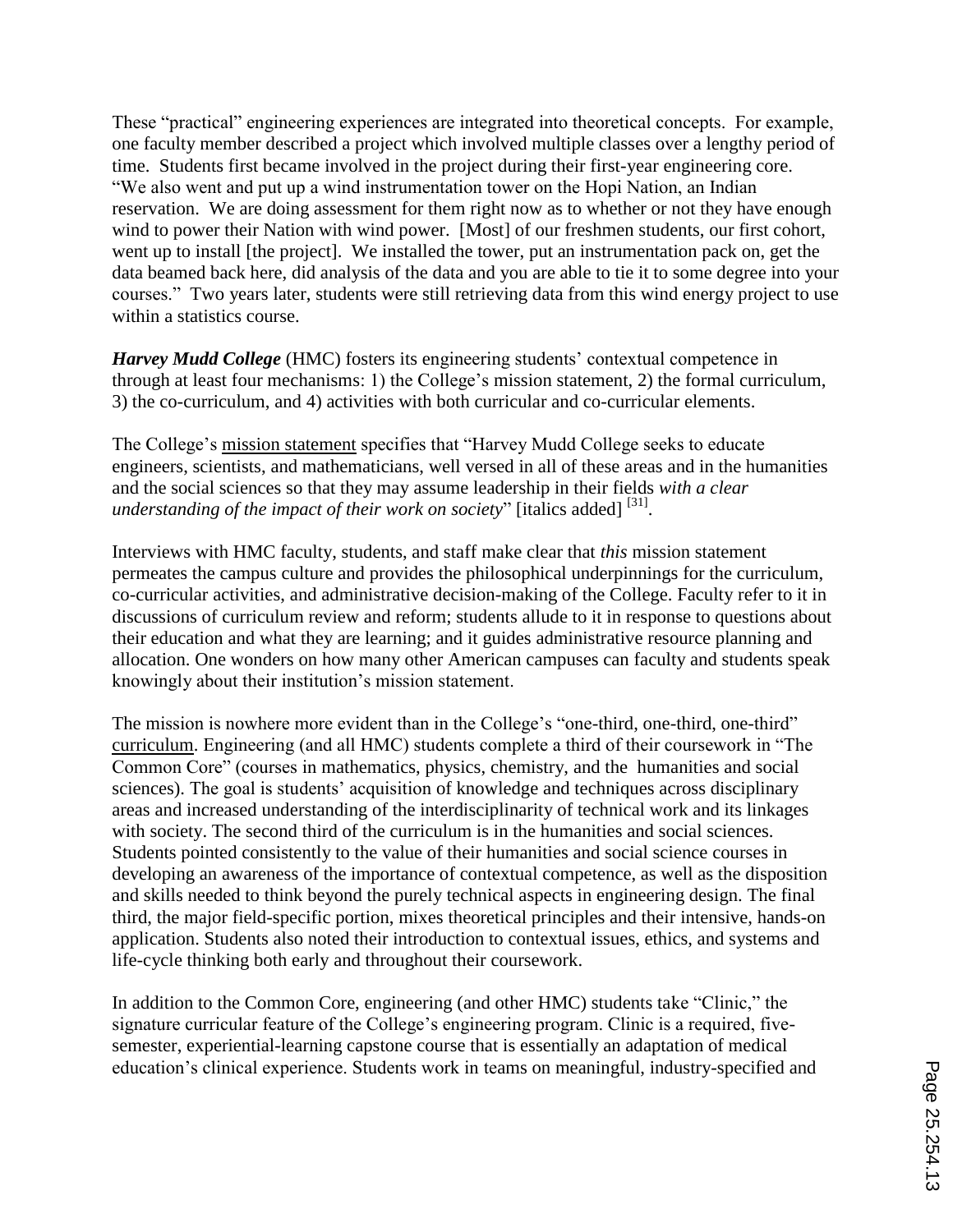These "practical" engineering experiences are integrated into theoretical concepts. For example, one faculty member described a project which involved multiple classes over a lengthy period of time. Students first became involved in the project during their first-year engineering core. "We also went and put up a wind instrumentation tower on the Hopi Nation, an Indian reservation. We are doing assessment for them right now as to whether or not they have enough wind to power their Nation with wind power. [Most] of our freshmen students, our first cohort, went up to install [the project]. We installed the tower, put an instrumentation pack on, get the data beamed back here, did analysis of the data and you are able to tie it to some degree into your courses." Two years later, students were still retrieving data from this wind energy project to use within a statistics course.

*Harvey Mudd College* (HMC) fosters its engineering students' contextual competence in through at least four mechanisms: 1) the College"s mission statement, 2) the formal curriculum, 3) the co-curriculum, and 4) activities with both curricular and co-curricular elements.

The College"s mission statement specifies that "Harvey Mudd College seeks to educate engineers, scientists, and mathematicians, well versed in all of these areas and in the humanities and the social sciences so that they may assume leadership in their fields *with a clear*  understanding of the impact of their work on society" [italics added] <sup>[31]</sup>.

Interviews with HMC faculty, students, and staff make clear that *this* mission statement permeates the campus culture and provides the philosophical underpinnings for the curriculum, co-curricular activities, and administrative decision-making of the College. Faculty refer to it in discussions of curriculum review and reform; students allude to it in response to questions about their education and what they are learning; and it guides administrative resource planning and allocation. One wonders on how many other American campuses can faculty and students speak knowingly about their institution"s mission statement.

The mission is nowhere more evident than in the College's "one-third, one-third, one-third" curriculum. Engineering (and all HMC) students complete a third of their coursework in "The Common Core" (courses in mathematics, physics, chemistry, and the humanities and social sciences). The goal is students' acquisition of knowledge and techniques across disciplinary areas and increased understanding of the interdisciplinarity of technical work and its linkages with society. The second third of the curriculum is in the humanities and social sciences. Students pointed consistently to the value of their humanities and social science courses in developing an awareness of the importance of contextual competence, as well as the disposition and skills needed to think beyond the purely technical aspects in engineering design. The final third, the major field-specific portion, mixes theoretical principles and their intensive, hands-on application. Students also noted their introduction to contextual issues, ethics, and systems and life-cycle thinking both early and throughout their coursework.

In addition to the Common Core, engineering (and other HMC) students take "Clinic," the signature curricular feature of the College's engineering program. Clinic is a required, fivesemester, experiential-learning capstone course that is essentially an adaptation of medical education"s clinical experience. Students work in teams on meaningful, industry-specified and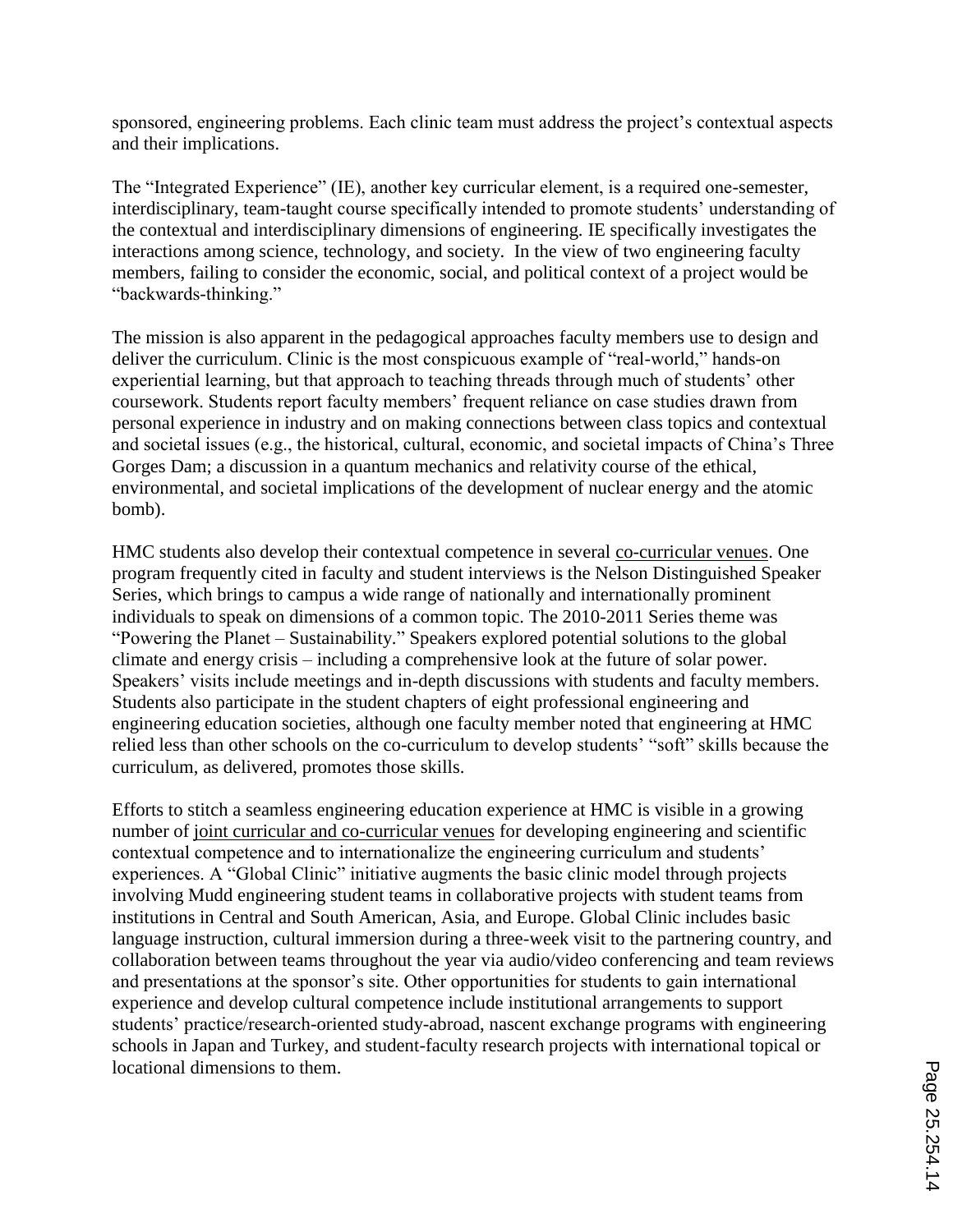sponsored, engineering problems. Each clinic team must address the project's contextual aspects and their implications.

The "Integrated Experience" (IE), another key curricular element, is a required one-semester, interdisciplinary, team-taught course specifically intended to promote students' understanding of the contextual and interdisciplinary dimensions of engineering. IE specifically investigates the interactions among science, technology, and society. In the view of two engineering faculty members, failing to consider the economic, social, and political context of a project would be "backwards-thinking."

The mission is also apparent in the pedagogical approaches faculty members use to design and deliver the curriculum. Clinic is the most conspicuous example of "real-world," hands-on experiential learning, but that approach to teaching threads through much of students' other coursework. Students report faculty members" frequent reliance on case studies drawn from personal experience in industry and on making connections between class topics and contextual and societal issues (e.g., the historical, cultural, economic, and societal impacts of China"s Three Gorges Dam; a discussion in a quantum mechanics and relativity course of the ethical, environmental, and societal implications of the development of nuclear energy and the atomic bomb).

HMC students also develop their contextual competence in several co-curricular venues. One program frequently cited in faculty and student interviews is the Nelson Distinguished Speaker Series, which brings to campus a wide range of nationally and internationally prominent individuals to speak on dimensions of a common topic. The 2010-2011 Series theme was "Powering the Planet – Sustainability." Speakers explored potential solutions to the global climate and energy crisis – including a comprehensive look at the future of solar power. Speakers' visits include meetings and in-depth discussions with students and faculty members. Students also participate in the student chapters of eight professional engineering and engineering education societies, although one faculty member noted that engineering at HMC relied less than other schools on the co-curriculum to develop students' "soft" skills because the curriculum, as delivered, promotes those skills.

Efforts to stitch a seamless engineering education experience at HMC is visible in a growing number of joint curricular and co-curricular venues for developing engineering and scientific contextual competence and to internationalize the engineering curriculum and students" experiences. A "Global Clinic" initiative augments the basic clinic model through projects involving Mudd engineering student teams in collaborative projects with student teams from institutions in Central and South American, Asia, and Europe. Global Clinic includes basic language instruction, cultural immersion during a three-week visit to the partnering country, and collaboration between teams throughout the year via audio/video conferencing and team reviews and presentations at the sponsor's site. Other opportunities for students to gain international experience and develop cultural competence include institutional arrangements to support students" practice/research-oriented study-abroad, nascent exchange programs with engineering schools in Japan and Turkey, and student-faculty research projects with international topical or locational dimensions to them.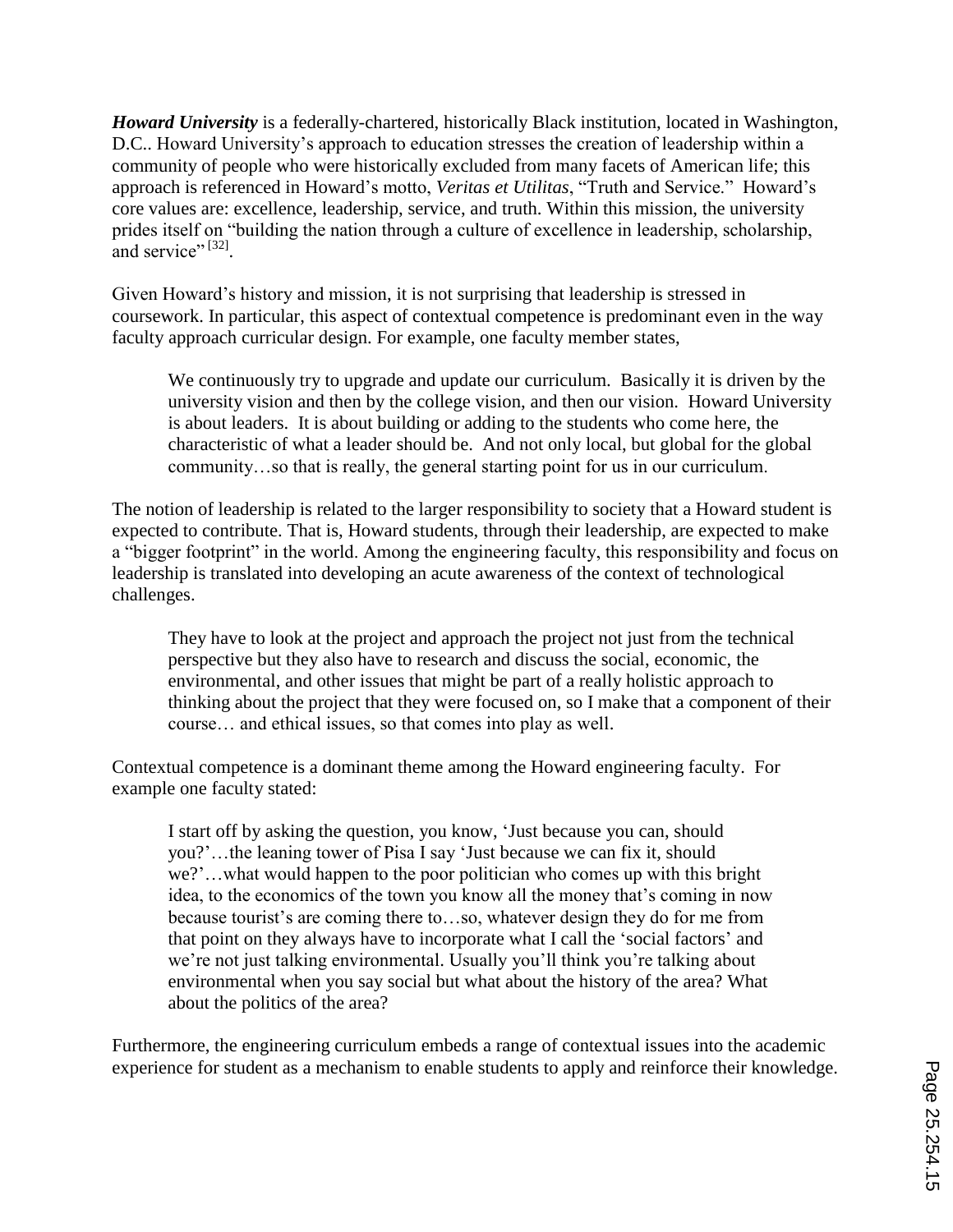*Howard University* is a federally-chartered, historically Black institution, located in Washington, D.C.. Howard University's approach to education stresses the creation of leadership within a community of people who were historically excluded from many facets of American life; this approach is referenced in Howard"s motto, *Veritas et Utilitas*, "Truth and Service." Howard"s core values are: excellence, leadership, service, and truth. Within this mission, the university prides itself on "building the nation through a culture of excellence in leadership, scholarship, and service".  $[32]$ .

Given Howard's history and mission, it is not surprising that leadership is stressed in coursework. In particular, this aspect of contextual competence is predominant even in the way faculty approach curricular design. For example, one faculty member states,

We continuously try to upgrade and update our curriculum. Basically it is driven by the university vision and then by the college vision, and then our vision. Howard University is about leaders. It is about building or adding to the students who come here, the characteristic of what a leader should be. And not only local, but global for the global community…so that is really, the general starting point for us in our curriculum.

The notion of leadership is related to the larger responsibility to society that a Howard student is expected to contribute. That is, Howard students, through their leadership, are expected to make a "bigger footprint" in the world. Among the engineering faculty, this responsibility and focus on leadership is translated into developing an acute awareness of the context of technological challenges.

They have to look at the project and approach the project not just from the technical perspective but they also have to research and discuss the social, economic, the environmental, and other issues that might be part of a really holistic approach to thinking about the project that they were focused on, so I make that a component of their course… and ethical issues, so that comes into play as well.

Contextual competence is a dominant theme among the Howard engineering faculty. For example one faculty stated:

I start off by asking the question, you know, "Just because you can, should you?"…the leaning tower of Pisa I say "Just because we can fix it, should we?"…what would happen to the poor politician who comes up with this bright idea, to the economics of the town you know all the money that's coming in now because tourist's are coming there to...so, whatever design they do for me from that point on they always have to incorporate what I call the "social factors" and we're not just talking environmental. Usually you'll think you're talking about environmental when you say social but what about the history of the area? What about the politics of the area?

Furthermore, the engineering curriculum embeds a range of contextual issues into the academic experience for student as a mechanism to enable students to apply and reinforce their knowledge.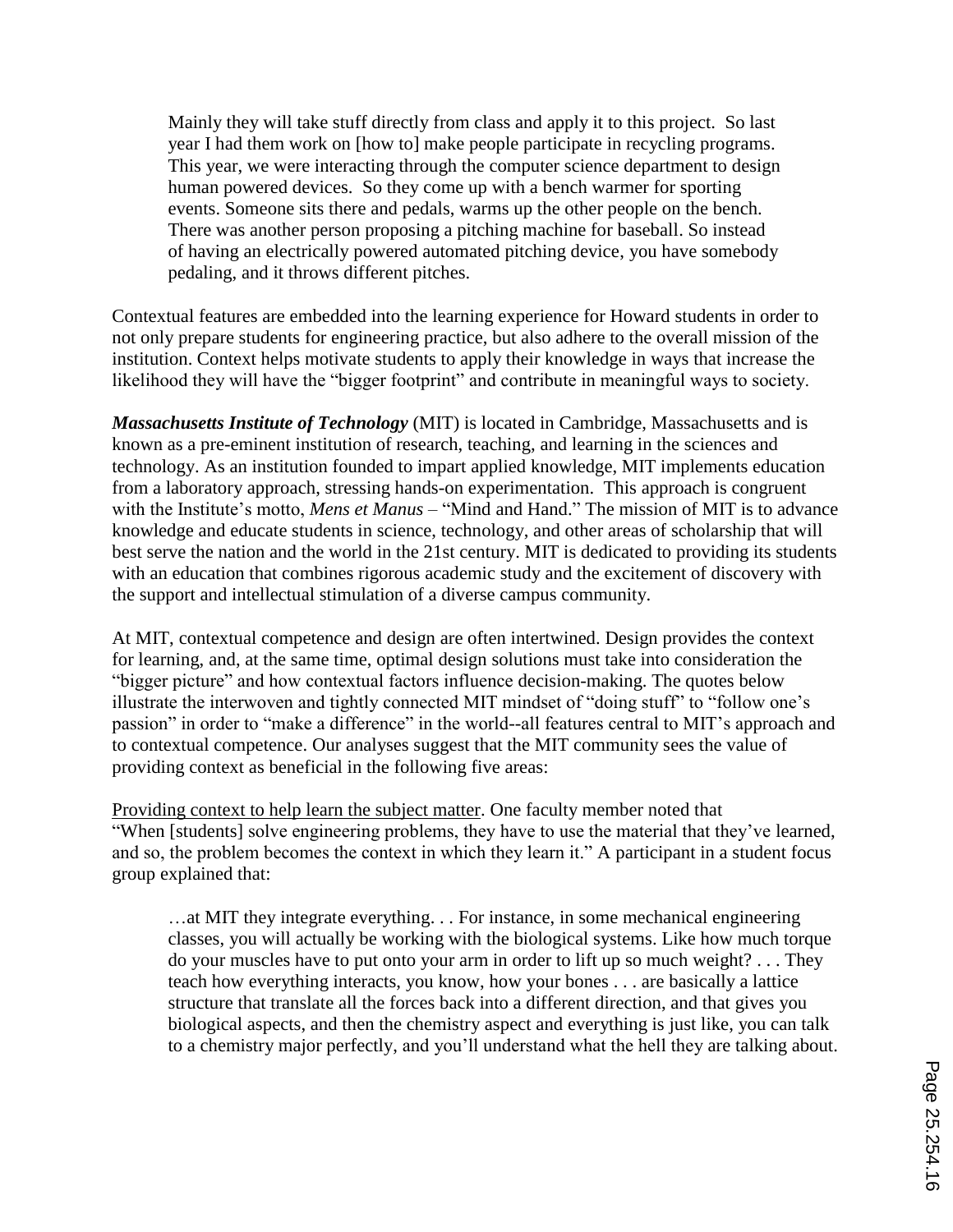Mainly they will take stuff directly from class and apply it to this project. So last year I had them work on [how to] make people participate in recycling programs. This year, we were interacting through the computer science department to design human powered devices. So they come up with a bench warmer for sporting events. Someone sits there and pedals, warms up the other people on the bench. There was another person proposing a pitching machine for baseball. So instead of having an electrically powered automated pitching device, you have somebody pedaling, and it throws different pitches.

Contextual features are embedded into the learning experience for Howard students in order to not only prepare students for engineering practice, but also adhere to the overall mission of the institution. Context helps motivate students to apply their knowledge in ways that increase the likelihood they will have the "bigger footprint" and contribute in meaningful ways to society.

*Massachusetts Institute of Technology* (MIT) is located in Cambridge, Massachusetts and is known as a pre-eminent institution of research, teaching, and learning in the sciences and technology. As an institution founded to impart applied knowledge, MIT implements education from a laboratory approach, stressing hands-on experimentation. This approach is congruent with the Institute's motto, *Mens et Manus* – "Mind and Hand." The mission of MIT is to advance knowledge and educate students in science, technology, and other areas of scholarship that will best serve the nation and the world in the 21st century. MIT is dedicated to providing its students with an education that combines rigorous academic study and the excitement of discovery with the support and intellectual stimulation of a diverse campus community.

At MIT, contextual competence and design are often intertwined. Design provides the context for learning, and, at the same time, optimal design solutions must take into consideration the "bigger picture" and how contextual factors influence decision-making. The quotes below illustrate the interwoven and tightly connected MIT mindset of "doing stuff" to "follow one"s passion" in order to "make a difference" in the world--all features central to MIT"s approach and to contextual competence. Our analyses suggest that the MIT community sees the value of providing context as beneficial in the following five areas:

Providing context to help learn the subject matter. One faculty member noted that "When [students] solve engineering problems, they have to use the material that they"ve learned, and so, the problem becomes the context in which they learn it." A participant in a student focus group explained that:

…at MIT they integrate everything. . . For instance, in some mechanical engineering classes, you will actually be working with the biological systems. Like how much torque do your muscles have to put onto your arm in order to lift up so much weight? . . . They teach how everything interacts, you know, how your bones . . . are basically a lattice structure that translate all the forces back into a different direction, and that gives you biological aspects, and then the chemistry aspect and everything is just like, you can talk to a chemistry major perfectly, and you"ll understand what the hell they are talking about.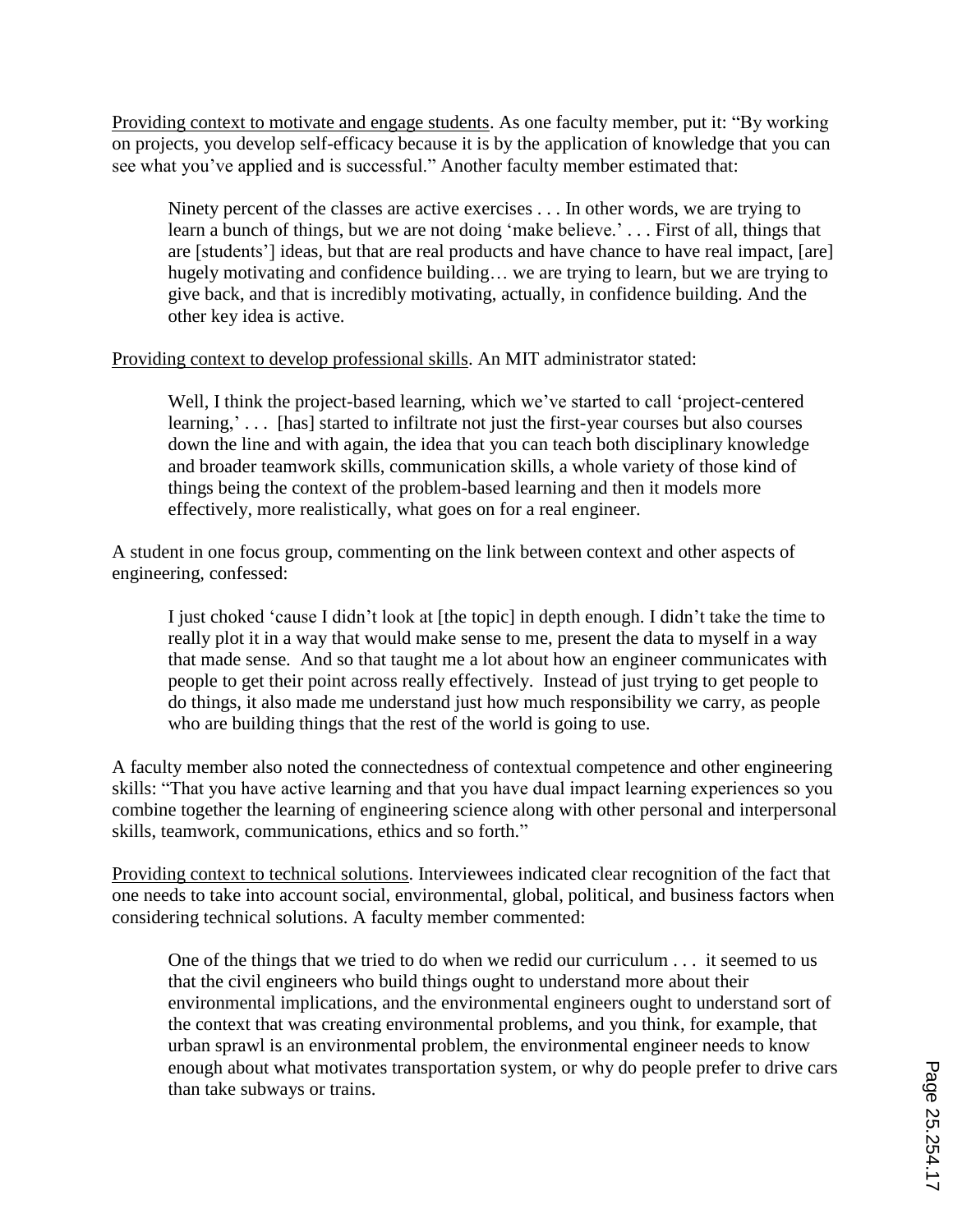Providing context to motivate and engage students. As one faculty member, put it: "By working on projects, you develop self-efficacy because it is by the application of knowledge that you can see what you"ve applied and is successful." Another faculty member estimated that:

Ninety percent of the classes are active exercises . . . In other words, we are trying to learn a bunch of things, but we are not doing 'make believe.' . . . First of all, things that are [students"] ideas, but that are real products and have chance to have real impact, [are] hugely motivating and confidence building... we are trying to learn, but we are trying to give back, and that is incredibly motivating, actually, in confidence building. And the other key idea is active.

Providing context to develop professional skills. An MIT administrator stated:

Well, I think the project-based learning, which we've started to call 'project-centered learning,'... [has] started to infiltrate not just the first-year courses but also courses down the line and with again, the idea that you can teach both disciplinary knowledge and broader teamwork skills, communication skills, a whole variety of those kind of things being the context of the problem-based learning and then it models more effectively, more realistically, what goes on for a real engineer.

A student in one focus group, commenting on the link between context and other aspects of engineering, confessed:

I just choked "cause I didn"t look at [the topic] in depth enough. I didn"t take the time to really plot it in a way that would make sense to me, present the data to myself in a way that made sense. And so that taught me a lot about how an engineer communicates with people to get their point across really effectively. Instead of just trying to get people to do things, it also made me understand just how much responsibility we carry, as people who are building things that the rest of the world is going to use.

A faculty member also noted the connectedness of contextual competence and other engineering skills: "That you have active learning and that you have dual impact learning experiences so you combine together the learning of engineering science along with other personal and interpersonal skills, teamwork, communications, ethics and so forth."

Providing context to technical solutions. Interviewees indicated clear recognition of the fact that one needs to take into account social, environmental, global, political, and business factors when considering technical solutions. A faculty member commented:

One of the things that we tried to do when we redid our curriculum . . . it seemed to us that the civil engineers who build things ought to understand more about their environmental implications, and the environmental engineers ought to understand sort of the context that was creating environmental problems, and you think, for example, that urban sprawl is an environmental problem, the environmental engineer needs to know enough about what motivates transportation system, or why do people prefer to drive cars than take subways or trains.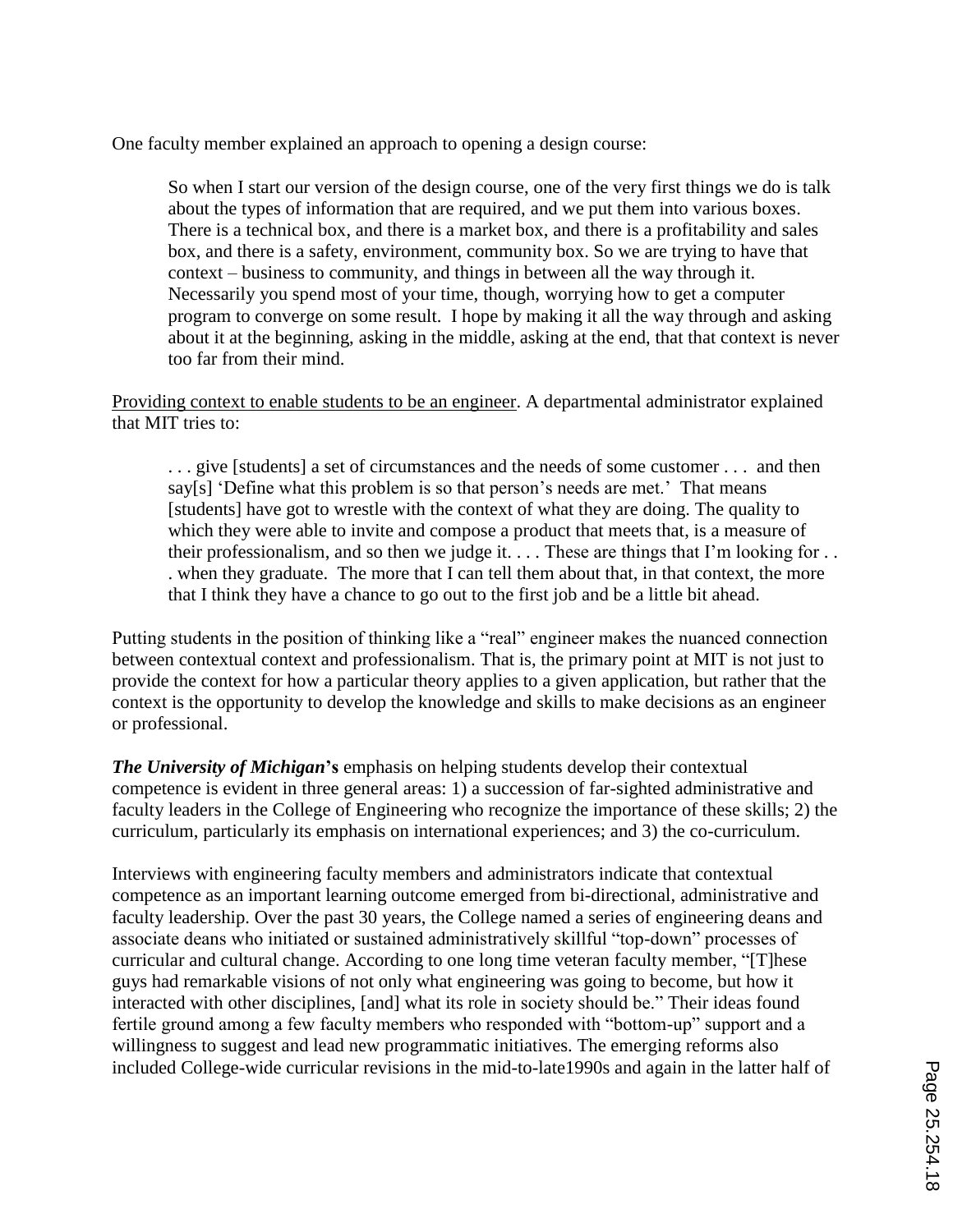One faculty member explained an approach to opening a design course:

So when I start our version of the design course, one of the very first things we do is talk about the types of information that are required, and we put them into various boxes. There is a technical box, and there is a market box, and there is a profitability and sales box, and there is a safety, environment, community box. So we are trying to have that context – business to community, and things in between all the way through it. Necessarily you spend most of your time, though, worrying how to get a computer program to converge on some result. I hope by making it all the way through and asking about it at the beginning, asking in the middle, asking at the end, that that context is never too far from their mind.

Providing context to enable students to be an engineer. A departmental administrator explained that MIT tries to:

. . . give [students] a set of circumstances and the needs of some customer . . . and then say[s] 'Define what this problem is so that person's needs are met.' That means [students] have got to wrestle with the context of what they are doing. The quality to which they were able to invite and compose a product that meets that, is a measure of their professionalism, and so then we judge it. . . . These are things that I"m looking for . . . when they graduate. The more that I can tell them about that, in that context, the more that I think they have a chance to go out to the first job and be a little bit ahead.

Putting students in the position of thinking like a "real" engineer makes the nuanced connection between contextual context and professionalism. That is, the primary point at MIT is not just to provide the context for how a particular theory applies to a given application, but rather that the context is the opportunity to develop the knowledge and skills to make decisions as an engineer or professional.

*The University of Michigan***'s** emphasis on helping students develop their contextual competence is evident in three general areas: 1) a succession of far-sighted administrative and faculty leaders in the College of Engineering who recognize the importance of these skills; 2) the curriculum, particularly its emphasis on international experiences; and 3) the co-curriculum.

Interviews with engineering faculty members and administrators indicate that contextual competence as an important learning outcome emerged from bi-directional, administrative and faculty leadership. Over the past 30 years, the College named a series of engineering deans and associate deans who initiated or sustained administratively skillful "top-down" processes of curricular and cultural change. According to one long time veteran faculty member, "[T]hese guys had remarkable visions of not only what engineering was going to become, but how it interacted with other disciplines, [and] what its role in society should be." Their ideas found fertile ground among a few faculty members who responded with "bottom-up" support and a willingness to suggest and lead new programmatic initiatives. The emerging reforms also included College-wide curricular revisions in the mid-to-late1990s and again in the latter half of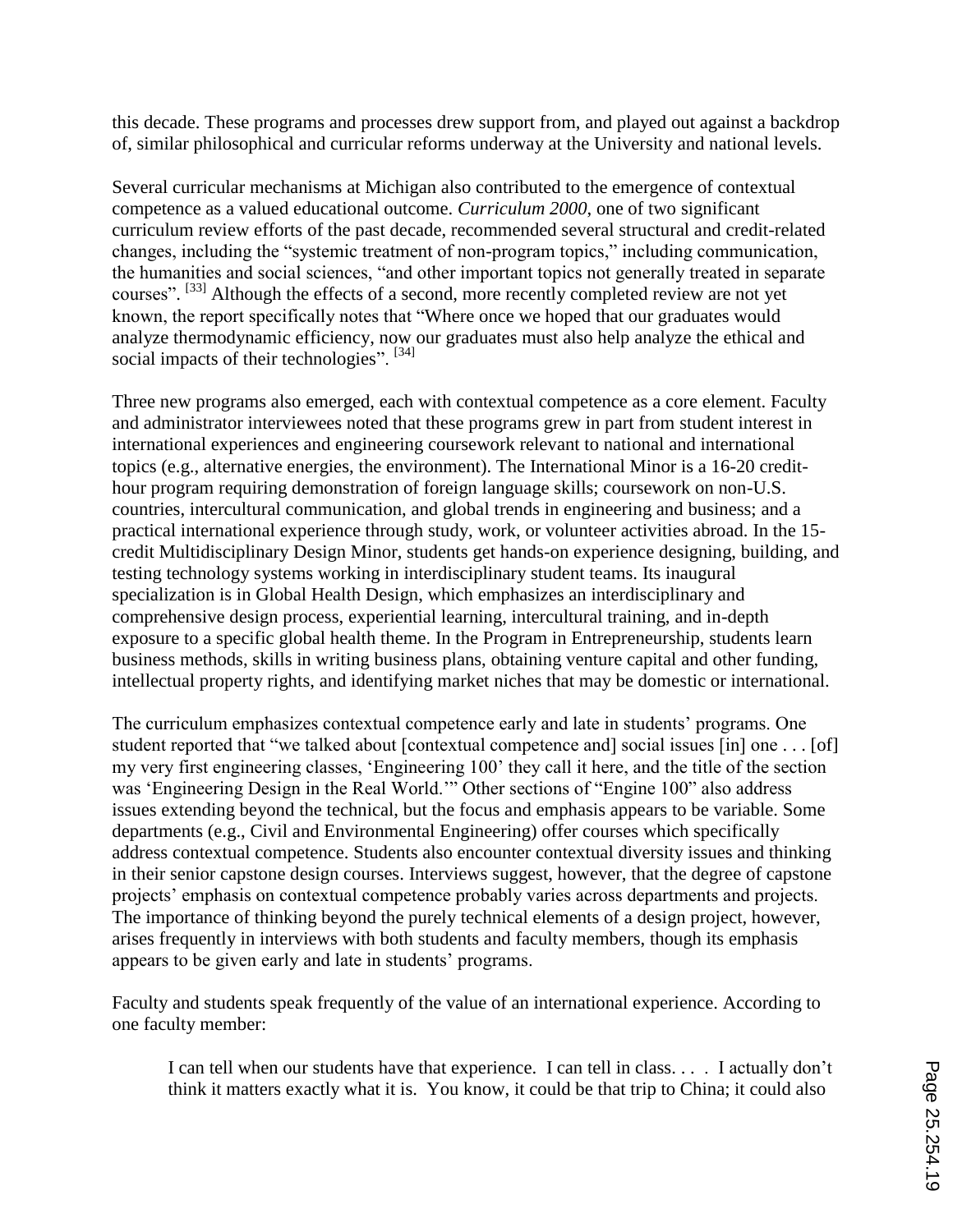this decade. These programs and processes drew support from, and played out against a backdrop of, similar philosophical and curricular reforms underway at the University and national levels.

Several curricular mechanisms at Michigan also contributed to the emergence of contextual competence as a valued educational outcome. *Curriculum 2000*, one of two significant curriculum review efforts of the past decade, recommended several structural and credit-related changes, including the "systemic treatment of non-program topics," including communication, the humanities and social sciences, "and other important topics not generally treated in separate courses". <sup>[33]</sup> Although the effects of a second, more recently completed review are not yet known, the report specifically notes that "Where once we hoped that our graduates would analyze thermodynamic efficiency, now our graduates must also help analyze the ethical and social impacts of their technologies". [34]

Three new programs also emerged, each with contextual competence as a core element. Faculty and administrator interviewees noted that these programs grew in part from student interest in international experiences and engineering coursework relevant to national and international topics (e.g., alternative energies, the environment). The International Minor is a 16-20 credithour program requiring demonstration of foreign language skills; coursework on non-U.S. countries, intercultural communication, and global trends in engineering and business; and a practical international experience through study, work, or volunteer activities abroad. In the 15 credit Multidisciplinary Design Minor, students get hands-on experience designing, building, and testing technology systems working in interdisciplinary student teams. Its inaugural specialization is in Global Health Design, which emphasizes an interdisciplinary and comprehensive design process, experiential learning, intercultural training, and in-depth exposure to a specific global health theme. In the Program in Entrepreneurship, students learn business methods, skills in writing business plans, obtaining venture capital and other funding, intellectual property rights, and identifying market niches that may be domestic or international.

The curriculum emphasizes contextual competence early and late in students' programs. One student reported that "we talked about [contextual competence and] social issues [in] one . . . [of] my very first engineering classes, "Engineering 100" they call it here, and the title of the section was "Engineering Design in the Real World."" Other sections of "Engine 100" also address issues extending beyond the technical, but the focus and emphasis appears to be variable. Some departments (e.g., Civil and Environmental Engineering) offer courses which specifically address contextual competence. Students also encounter contextual diversity issues and thinking in their senior capstone design courses. Interviews suggest, however, that the degree of capstone projects" emphasis on contextual competence probably varies across departments and projects. The importance of thinking beyond the purely technical elements of a design project, however, arises frequently in interviews with both students and faculty members, though its emphasis appears to be given early and late in students" programs.

Faculty and students speak frequently of the value of an international experience. According to one faculty member:

I can tell when our students have that experience. I can tell in class. . . . I actually don"t think it matters exactly what it is. You know, it could be that trip to China; it could also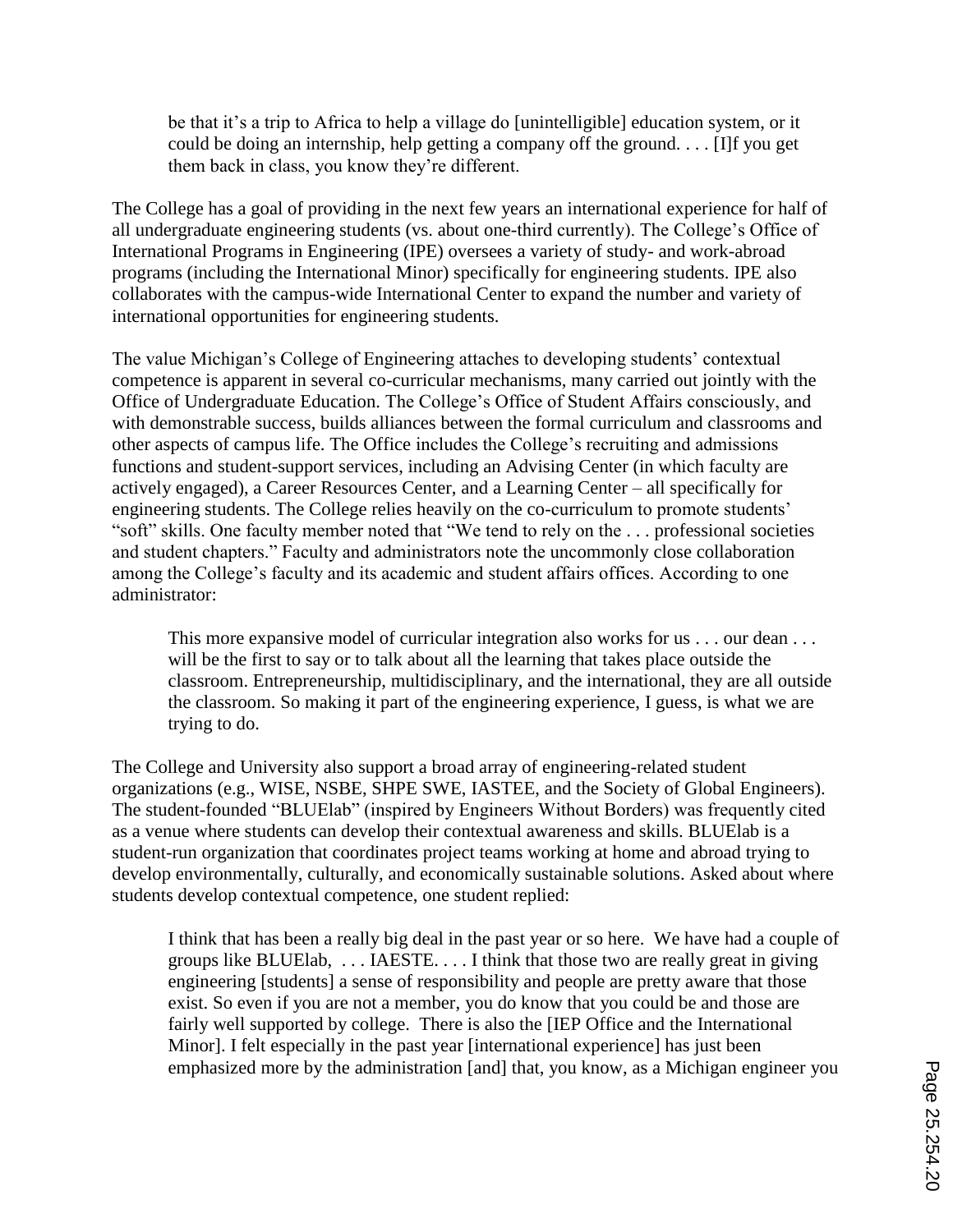be that it's a trip to Africa to help a village do [unintelligible] education system, or it could be doing an internship, help getting a company off the ground. . . . [I]f you get them back in class, you know they"re different.

The College has a goal of providing in the next few years an international experience for half of all undergraduate engineering students (vs. about one-third currently). The College"s Office of International Programs in Engineering (IPE) oversees a variety of study- and work-abroad programs (including the International Minor) specifically for engineering students. IPE also collaborates with the campus-wide International Center to expand the number and variety of international opportunities for engineering students.

The value Michigan's College of Engineering attaches to developing students' contextual competence is apparent in several co-curricular mechanisms, many carried out jointly with the Office of Undergraduate Education. The College"s Office of Student Affairs consciously, and with demonstrable success, builds alliances between the formal curriculum and classrooms and other aspects of campus life. The Office includes the College"s recruiting and admissions functions and student-support services, including an Advising Center (in which faculty are actively engaged), a Career Resources Center, and a Learning Center – all specifically for engineering students. The College relies heavily on the co-curriculum to promote students' "soft" skills. One faculty member noted that "We tend to rely on the . . . professional societies and student chapters." Faculty and administrators note the uncommonly close collaboration among the College's faculty and its academic and student affairs offices. According to one administrator:

This more expansive model of curricular integration also works for us . . . our dean . . . will be the first to say or to talk about all the learning that takes place outside the classroom. Entrepreneurship, multidisciplinary, and the international, they are all outside the classroom. So making it part of the engineering experience, I guess, is what we are trying to do.

The College and University also support a broad array of engineering-related student organizations (e.g., WISE, NSBE, SHPE SWE, IASTEE, and the Society of Global Engineers). The student-founded "BLUElab" (inspired by Engineers Without Borders) was frequently cited as a venue where students can develop their contextual awareness and skills. BLUElab is a student-run organization that coordinates project teams working at home and abroad trying to develop environmentally, culturally, and economically sustainable solutions. Asked about where students develop contextual competence, one student replied:

I think that has been a really big deal in the past year or so here. We have had a couple of groups like BLUElab, . . . IAESTE. . . . I think that those two are really great in giving engineering [students] a sense of responsibility and people are pretty aware that those exist. So even if you are not a member, you do know that you could be and those are fairly well supported by college. There is also the [IEP Office and the International Minor]. I felt especially in the past year [international experience] has just been emphasized more by the administration [and] that, you know, as a Michigan engineer you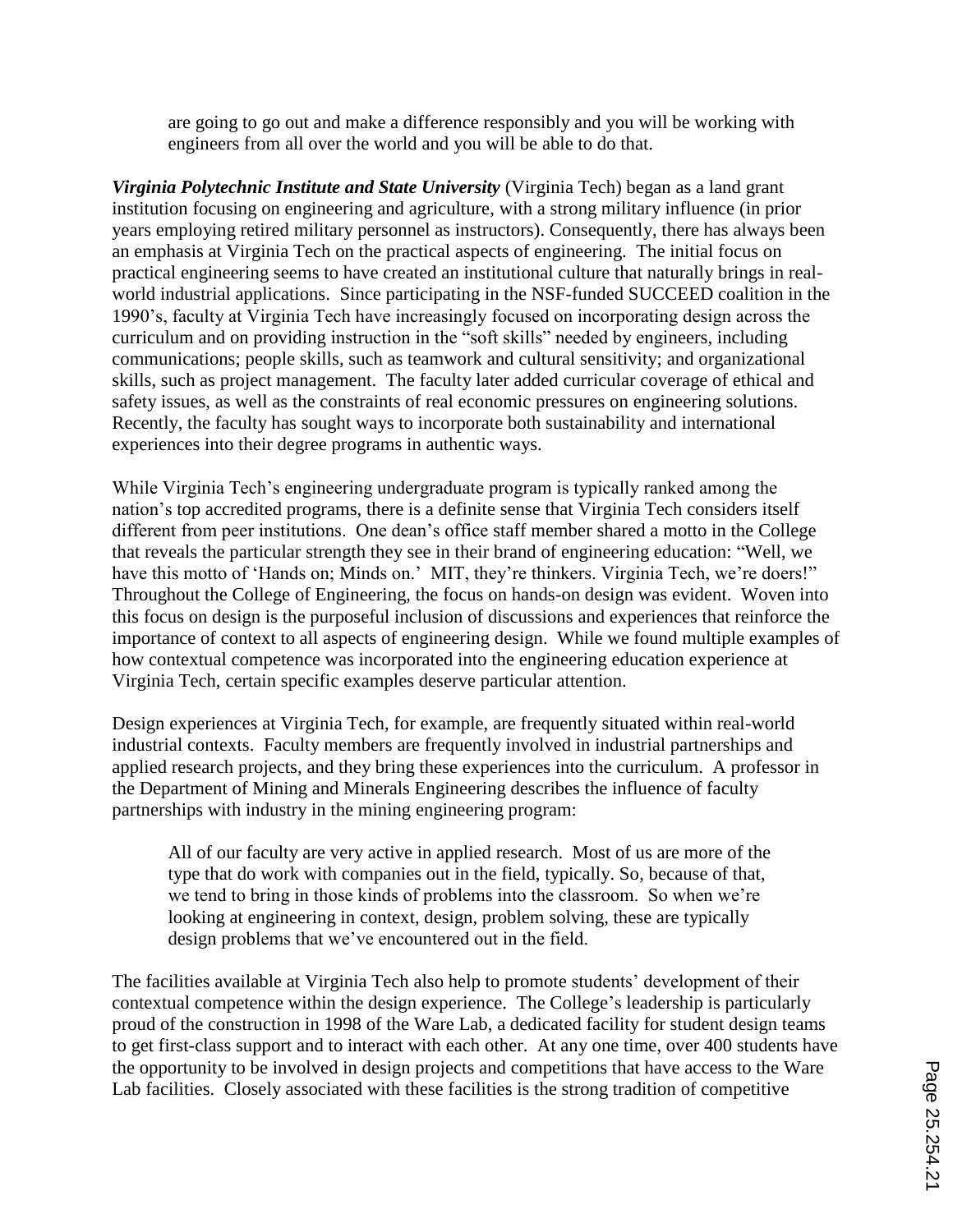are going to go out and make a difference responsibly and you will be working with engineers from all over the world and you will be able to do that.

*Virginia Polytechnic Institute and State University* (Virginia Tech) began as a land grant institution focusing on engineering and agriculture, with a strong military influence (in prior years employing retired military personnel as instructors). Consequently, there has always been an emphasis at Virginia Tech on the practical aspects of engineering. The initial focus on practical engineering seems to have created an institutional culture that naturally brings in realworld industrial applications. Since participating in the NSF-funded SUCCEED coalition in the 1990"s, faculty at Virginia Tech have increasingly focused on incorporating design across the curriculum and on providing instruction in the "soft skills" needed by engineers, including communications; people skills, such as teamwork and cultural sensitivity; and organizational skills, such as project management. The faculty later added curricular coverage of ethical and safety issues, as well as the constraints of real economic pressures on engineering solutions. Recently, the faculty has sought ways to incorporate both sustainability and international experiences into their degree programs in authentic ways.

While Virginia Tech's engineering undergraduate program is typically ranked among the nation"s top accredited programs, there is a definite sense that Virginia Tech considers itself different from peer institutions. One dean"s office staff member shared a motto in the College that reveals the particular strength they see in their brand of engineering education: "Well, we have this motto of 'Hands on; Minds on.' MIT, they're thinkers. Virginia Tech, we're doers!" Throughout the College of Engineering, the focus on hands-on design was evident. Woven into this focus on design is the purposeful inclusion of discussions and experiences that reinforce the importance of context to all aspects of engineering design. While we found multiple examples of how contextual competence was incorporated into the engineering education experience at Virginia Tech, certain specific examples deserve particular attention.

Design experiences at Virginia Tech, for example, are frequently situated within real-world industrial contexts. Faculty members are frequently involved in industrial partnerships and applied research projects, and they bring these experiences into the curriculum. A professor in the Department of Mining and Minerals Engineering describes the influence of faculty partnerships with industry in the mining engineering program:

All of our faculty are very active in applied research. Most of us are more of the type that do work with companies out in the field, typically. So, because of that, we tend to bring in those kinds of problems into the classroom. So when we're looking at engineering in context, design, problem solving, these are typically design problems that we"ve encountered out in the field.

The facilities available at Virginia Tech also help to promote students" development of their contextual competence within the design experience. The College"s leadership is particularly proud of the construction in 1998 of the Ware Lab, a dedicated facility for student design teams to get first-class support and to interact with each other. At any one time, over 400 students have the opportunity to be involved in design projects and competitions that have access to the Ware Lab facilities. Closely associated with these facilities is the strong tradition of competitive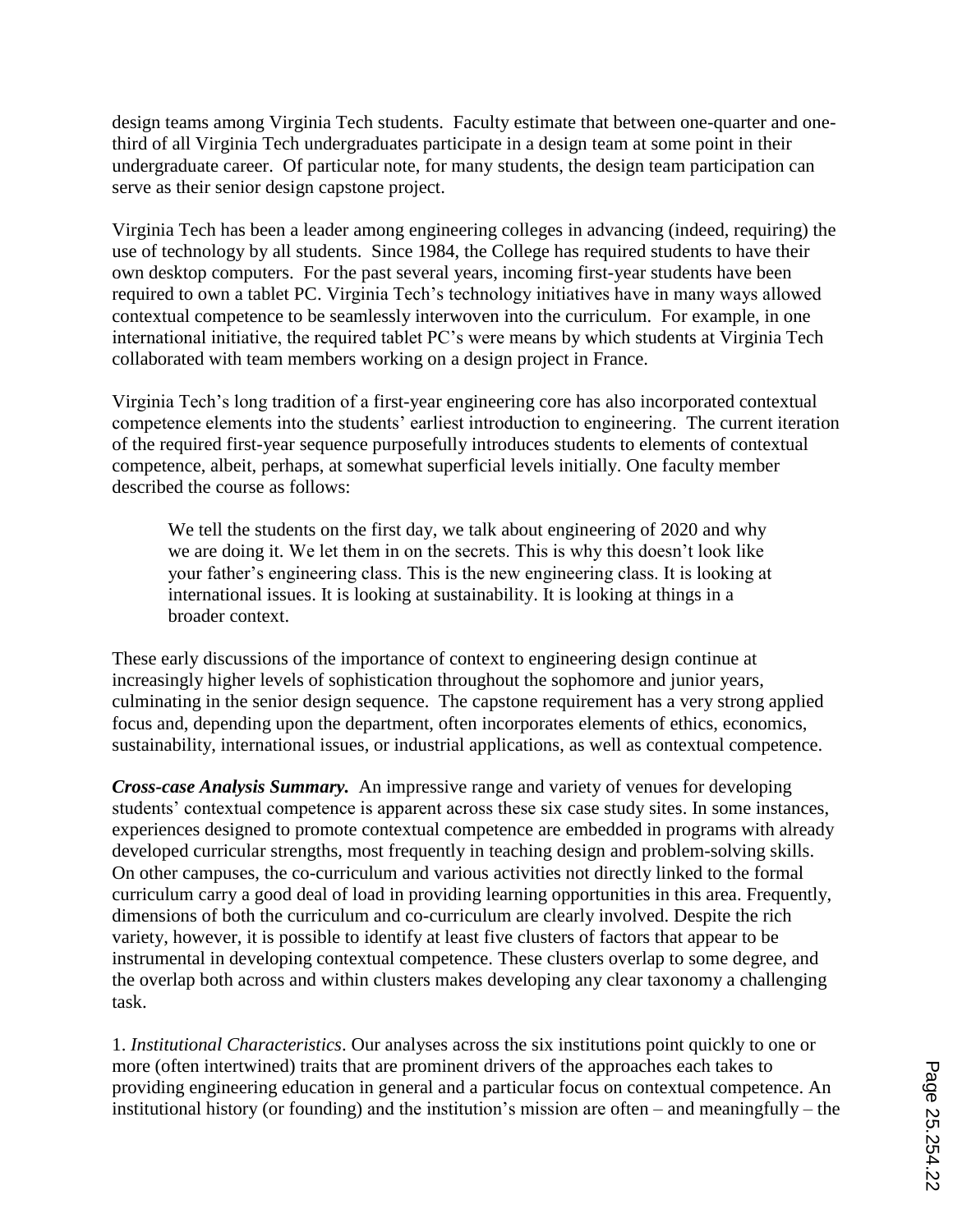design teams among Virginia Tech students. Faculty estimate that between one-quarter and onethird of all Virginia Tech undergraduates participate in a design team at some point in their undergraduate career. Of particular note, for many students, the design team participation can serve as their senior design capstone project.

Virginia Tech has been a leader among engineering colleges in advancing (indeed, requiring) the use of technology by all students. Since 1984, the College has required students to have their own desktop computers. For the past several years, incoming first-year students have been required to own a tablet PC. Virginia Tech"s technology initiatives have in many ways allowed contextual competence to be seamlessly interwoven into the curriculum. For example, in one international initiative, the required tablet PC"s were means by which students at Virginia Tech collaborated with team members working on a design project in France.

Virginia Tech"s long tradition of a first-year engineering core has also incorporated contextual competence elements into the students' earliest introduction to engineering. The current iteration of the required first-year sequence purposefully introduces students to elements of contextual competence, albeit, perhaps, at somewhat superficial levels initially. One faculty member described the course as follows:

We tell the students on the first day, we talk about engineering of 2020 and why we are doing it. We let them in on the secrets. This is why this doesn"t look like your father"s engineering class. This is the new engineering class. It is looking at international issues. It is looking at sustainability. It is looking at things in a broader context.

These early discussions of the importance of context to engineering design continue at increasingly higher levels of sophistication throughout the sophomore and junior years, culminating in the senior design sequence. The capstone requirement has a very strong applied focus and, depending upon the department, often incorporates elements of ethics, economics, sustainability, international issues, or industrial applications, as well as contextual competence.

*Cross-case Analysis Summary.* An impressive range and variety of venues for developing students' contextual competence is apparent across these six case study sites. In some instances, experiences designed to promote contextual competence are embedded in programs with already developed curricular strengths, most frequently in teaching design and problem-solving skills. On other campuses, the co-curriculum and various activities not directly linked to the formal curriculum carry a good deal of load in providing learning opportunities in this area. Frequently, dimensions of both the curriculum and co-curriculum are clearly involved. Despite the rich variety, however, it is possible to identify at least five clusters of factors that appear to be instrumental in developing contextual competence. These clusters overlap to some degree, and the overlap both across and within clusters makes developing any clear taxonomy a challenging task.

1. *Institutional Characteristics*. Our analyses across the six institutions point quickly to one or more (often intertwined) traits that are prominent drivers of the approaches each takes to providing engineering education in general and a particular focus on contextual competence. An institutional history (or founding) and the institution's mission are often – and meaningfully – the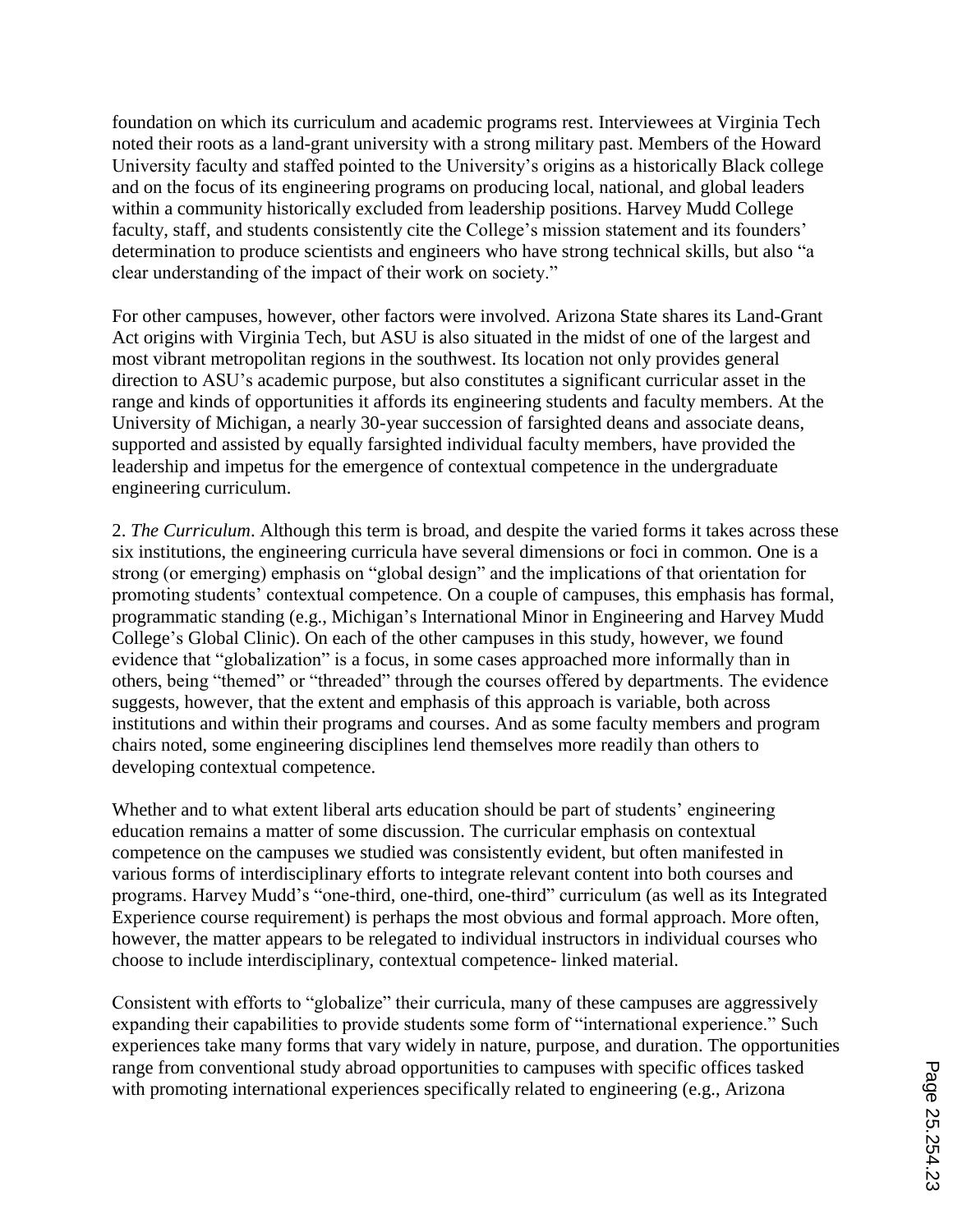foundation on which its curriculum and academic programs rest. Interviewees at Virginia Tech noted their roots as a land-grant university with a strong military past. Members of the Howard University faculty and staffed pointed to the University"s origins as a historically Black college and on the focus of its engineering programs on producing local, national, and global leaders within a community historically excluded from leadership positions. Harvey Mudd College faculty, staff, and students consistently cite the College's mission statement and its founders' determination to produce scientists and engineers who have strong technical skills, but also "a clear understanding of the impact of their work on society."

For other campuses, however, other factors were involved. Arizona State shares its Land-Grant Act origins with Virginia Tech, but ASU is also situated in the midst of one of the largest and most vibrant metropolitan regions in the southwest. Its location not only provides general direction to ASU"s academic purpose, but also constitutes a significant curricular asset in the range and kinds of opportunities it affords its engineering students and faculty members. At the University of Michigan, a nearly 30-year succession of farsighted deans and associate deans, supported and assisted by equally farsighted individual faculty members, have provided the leadership and impetus for the emergence of contextual competence in the undergraduate engineering curriculum.

2. *The Curriculum*. Although this term is broad, and despite the varied forms it takes across these six institutions, the engineering curricula have several dimensions or foci in common. One is a strong (or emerging) emphasis on "global design" and the implications of that orientation for promoting students" contextual competence. On a couple of campuses, this emphasis has formal, programmatic standing (e.g., Michigan"s International Minor in Engineering and Harvey Mudd College"s Global Clinic). On each of the other campuses in this study, however, we found evidence that "globalization" is a focus, in some cases approached more informally than in others, being "themed" or "threaded" through the courses offered by departments. The evidence suggests, however, that the extent and emphasis of this approach is variable, both across institutions and within their programs and courses. And as some faculty members and program chairs noted, some engineering disciplines lend themselves more readily than others to developing contextual competence.

Whether and to what extent liberal arts education should be part of students' engineering education remains a matter of some discussion. The curricular emphasis on contextual competence on the campuses we studied was consistently evident, but often manifested in various forms of interdisciplinary efforts to integrate relevant content into both courses and programs. Harvey Mudd"s "one-third, one-third, one-third" curriculum (as well as its Integrated Experience course requirement) is perhaps the most obvious and formal approach. More often, however, the matter appears to be relegated to individual instructors in individual courses who choose to include interdisciplinary, contextual competence- linked material.

Consistent with efforts to "globalize" their curricula, many of these campuses are aggressively expanding their capabilities to provide students some form of "international experience." Such experiences take many forms that vary widely in nature, purpose, and duration. The opportunities range from conventional study abroad opportunities to campuses with specific offices tasked with promoting international experiences specifically related to engineering (e.g., Arizona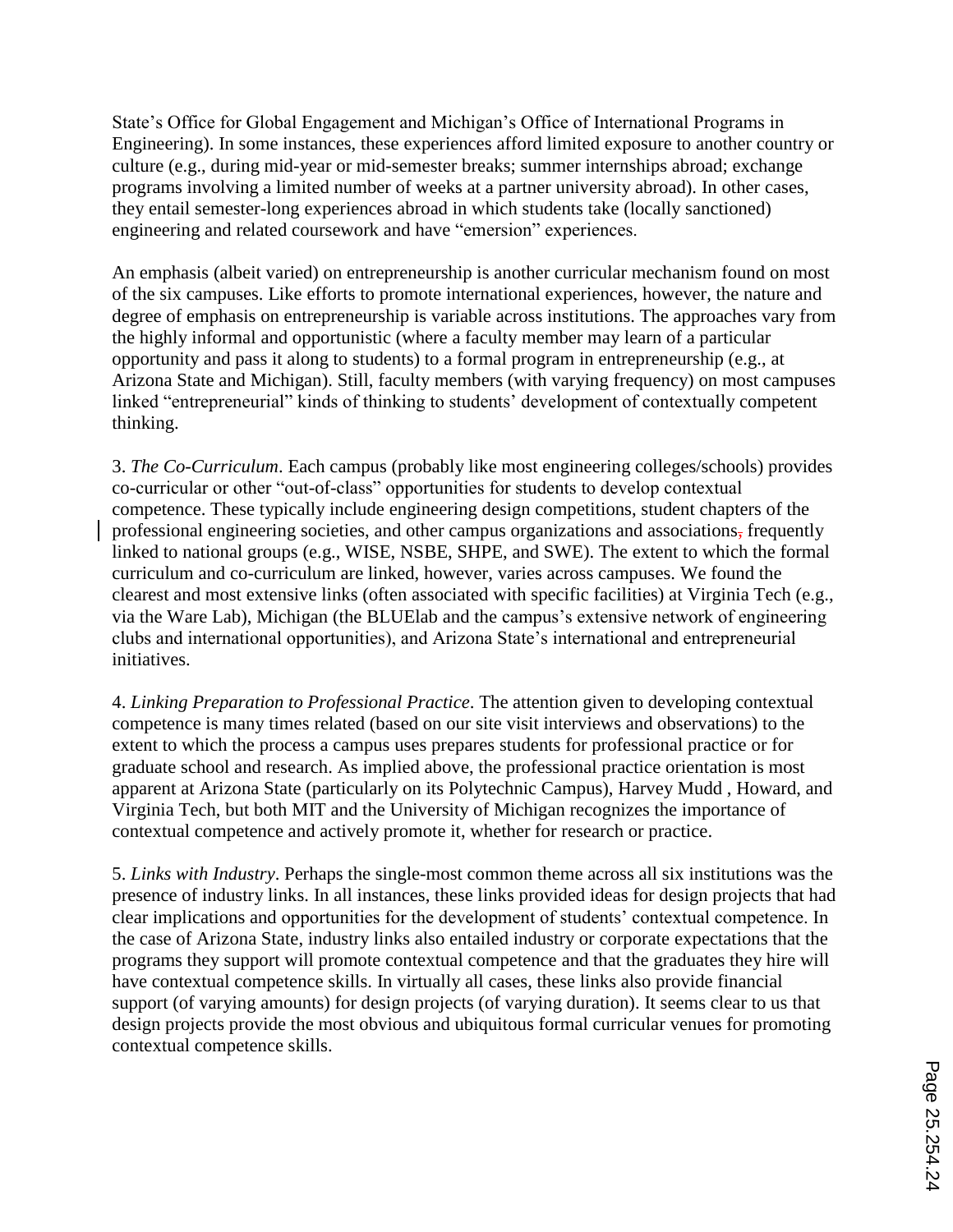State"s Office for Global Engagement and Michigan"s Office of International Programs in Engineering). In some instances, these experiences afford limited exposure to another country or culture (e.g., during mid-year or mid-semester breaks; summer internships abroad; exchange programs involving a limited number of weeks at a partner university abroad). In other cases, they entail semester-long experiences abroad in which students take (locally sanctioned) engineering and related coursework and have "emersion" experiences.

An emphasis (albeit varied) on entrepreneurship is another curricular mechanism found on most of the six campuses. Like efforts to promote international experiences, however, the nature and degree of emphasis on entrepreneurship is variable across institutions. The approaches vary from the highly informal and opportunistic (where a faculty member may learn of a particular opportunity and pass it along to students) to a formal program in entrepreneurship (e.g., at Arizona State and Michigan). Still, faculty members (with varying frequency) on most campuses linked "entrepreneurial" kinds of thinking to students' development of contextually competent thinking.

3. *The Co-Curriculum*. Each campus (probably like most engineering colleges/schools) provides co-curricular or other "out-of-class" opportunities for students to develop contextual competence. These typically include engineering design competitions, student chapters of the professional engineering societies, and other campus organizations and associations, frequently linked to national groups (e.g., WISE, NSBE, SHPE, and SWE). The extent to which the formal curriculum and co-curriculum are linked, however, varies across campuses. We found the clearest and most extensive links (often associated with specific facilities) at Virginia Tech (e.g., via the Ware Lab), Michigan (the BLUElab and the campus"s extensive network of engineering clubs and international opportunities), and Arizona State"s international and entrepreneurial initiatives.

4. *Linking Preparation to Professional Practice*. The attention given to developing contextual competence is many times related (based on our site visit interviews and observations) to the extent to which the process a campus uses prepares students for professional practice or for graduate school and research. As implied above, the professional practice orientation is most apparent at Arizona State (particularly on its Polytechnic Campus), Harvey Mudd , Howard, and Virginia Tech, but both MIT and the University of Michigan recognizes the importance of contextual competence and actively promote it, whether for research or practice.

5. *Links with Industry*. Perhaps the single-most common theme across all six institutions was the presence of industry links. In all instances, these links provided ideas for design projects that had clear implications and opportunities for the development of students" contextual competence. In the case of Arizona State, industry links also entailed industry or corporate expectations that the programs they support will promote contextual competence and that the graduates they hire will have contextual competence skills. In virtually all cases, these links also provide financial support (of varying amounts) for design projects (of varying duration). It seems clear to us that design projects provide the most obvious and ubiquitous formal curricular venues for promoting contextual competence skills.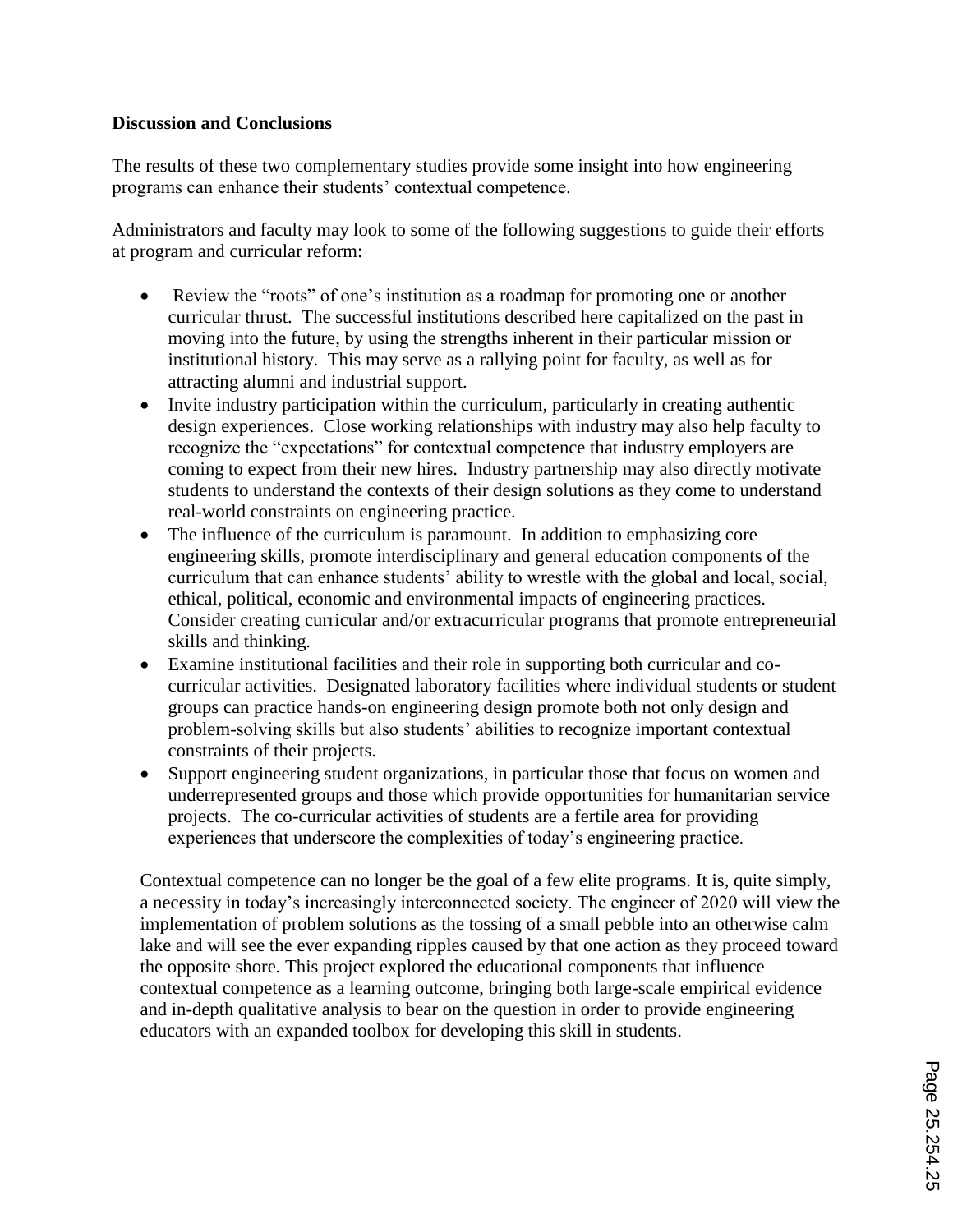### **Discussion and Conclusions**

The results of these two complementary studies provide some insight into how engineering programs can enhance their students' contextual competence.

Administrators and faculty may look to some of the following suggestions to guide their efforts at program and curricular reform:

- Review the "roots" of one's institution as a roadmap for promoting one or another curricular thrust. The successful institutions described here capitalized on the past in moving into the future, by using the strengths inherent in their particular mission or institutional history. This may serve as a rallying point for faculty, as well as for attracting alumni and industrial support.
- Invite industry participation within the curriculum, particularly in creating authentic design experiences. Close working relationships with industry may also help faculty to recognize the "expectations" for contextual competence that industry employers are coming to expect from their new hires. Industry partnership may also directly motivate students to understand the contexts of their design solutions as they come to understand real-world constraints on engineering practice.
- The influence of the curriculum is paramount. In addition to emphasizing core engineering skills, promote interdisciplinary and general education components of the curriculum that can enhance students' ability to wrestle with the global and local, social, ethical, political, economic and environmental impacts of engineering practices. Consider creating curricular and/or extracurricular programs that promote entrepreneurial skills and thinking.
- Examine institutional facilities and their role in supporting both curricular and cocurricular activities. Designated laboratory facilities where individual students or student groups can practice hands-on engineering design promote both not only design and problem-solving skills but also students" abilities to recognize important contextual constraints of their projects.
- Support engineering student organizations, in particular those that focus on women and underrepresented groups and those which provide opportunities for humanitarian service projects. The co-curricular activities of students are a fertile area for providing experiences that underscore the complexities of today"s engineering practice.

Contextual competence can no longer be the goal of a few elite programs. It is, quite simply, a necessity in today"s increasingly interconnected society. The engineer of 2020 will view the implementation of problem solutions as the tossing of a small pebble into an otherwise calm lake and will see the ever expanding ripples caused by that one action as they proceed toward the opposite shore. This project explored the educational components that influence contextual competence as a learning outcome, bringing both large-scale empirical evidence and in-depth qualitative analysis to bear on the question in order to provide engineering educators with an expanded toolbox for developing this skill in students.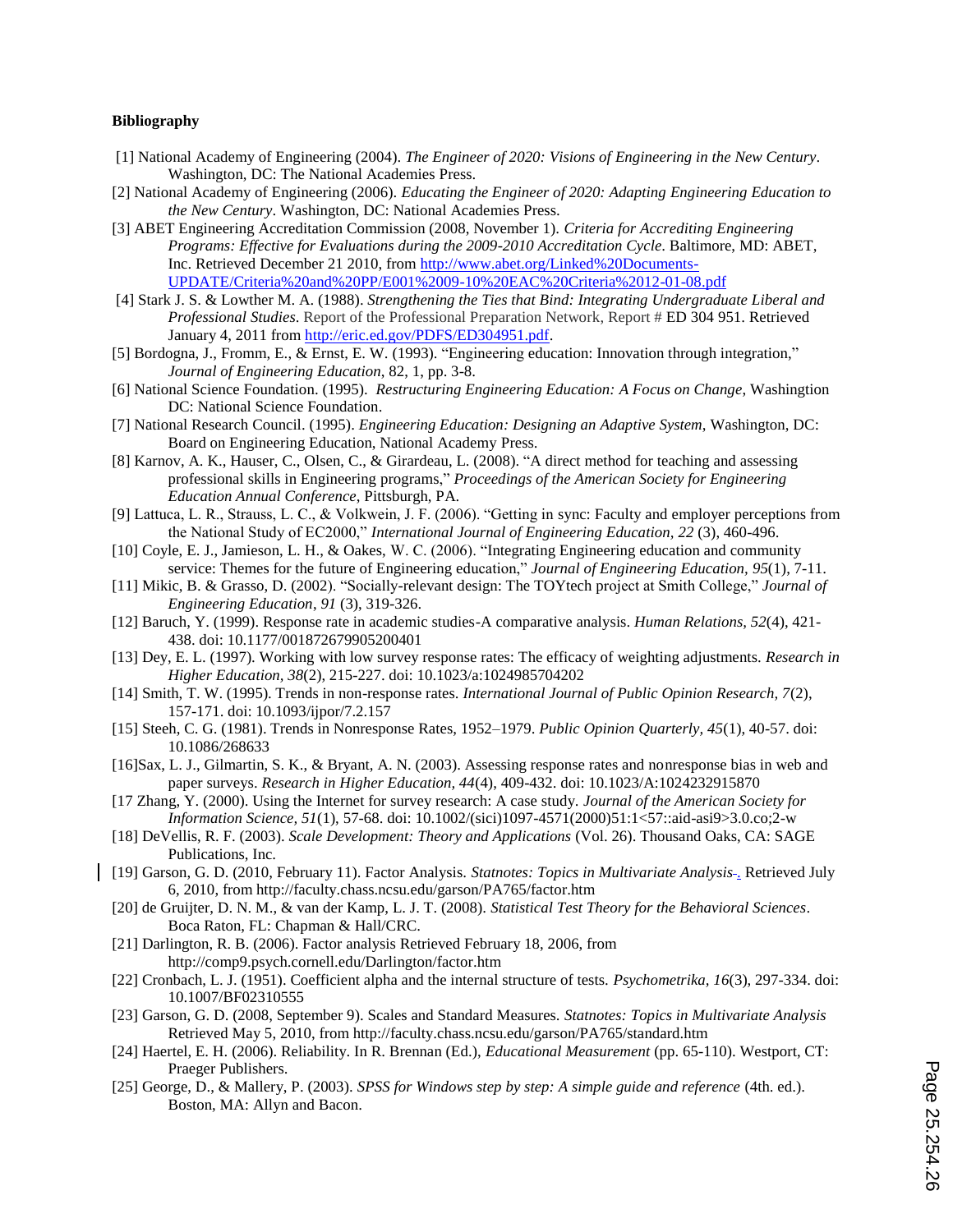### **Bibliography**

- [1] National Academy of Engineering (2004). *The Engineer of 2020: Visions of Engineering in the New Century*. Washington, DC: The National Academies Press.
- [2] National Academy of Engineering (2006). *Educating the Engineer of 2020: Adapting Engineering Education to the New Century*. Washington, DC: National Academies Press.
- [3] ABET Engineering Accreditation Commission (2008, November 1). *Criteria for Accrediting Engineering Programs: Effective for Evaluations during the 2009-2010 Accreditation Cycle*. Baltimore, MD: ABET, Inc. Retrieved December 21 2010, from http://www.abet.org/Linked%20Documents-UPDATE/Criteria%20and%20PP/E001%2009-10%20EAC%20Criteria%2012-01-08.pdf
- [4] Stark J. S. & Lowther M. A. (1988). *Strengthening the Ties that Bind: Integrating Undergraduate Liberal and Professional Studies*. Report of the Professional Preparation Network, Report # ED 304 951. Retrieved January 4, 2011 from http://eric.ed.gov/PDFS/ED304951.pdf.
- [5] Bordogna, J., Fromm, E., & Ernst, E. W. (1993). "Engineering education: Innovation through integration," *Journal of Engineering Education*, 82, 1, pp. 3-8.
- [6] National Science Foundation. (1995). *Restructuring Engineering Education: A Focus on Change*, Washingtion DC: National Science Foundation.
- [7] National Research Council. (1995). *Engineering Education: Designing an Adaptive System*, Washington, DC: Board on Engineering Education, National Academy Press.
- [8] Karnov, A. K., Hauser, C., Olsen, C., & Girardeau, L. (2008). "A direct method for teaching and assessing professional skills in Engineering programs," *Proceedings of the American Society for Engineering Education Annual Conference*, Pittsburgh, PA.
- [9] Lattuca, L. R., Strauss, L. C., & Volkwein, J. F. (2006). "Getting in sync: Faculty and employer perceptions from the National Study of EC2000," *International Journal of Engineering Education, 22* (3), 460-496.
- [10] Coyle, E. J., Jamieson, L. H., & Oakes, W. C. (2006). "Integrating Engineering education and community service: Themes for the future of Engineering education," *Journal of Engineering Education, 95*(1), 7-11.
- [11] Mikic, B. & Grasso, D. (2002). "Socially-relevant design: The TOYtech project at Smith College," *Journal of Engineering Education*, *91* (3), 319-326.
- [12] Baruch, Y. (1999). Response rate in academic studies-A comparative analysis. *Human Relations, 52*(4), 421- 438. doi: 10.1177/001872679905200401
- [13] Dey, E. L. (1997). Working with low survey response rates: The efficacy of weighting adjustments. *Research in Higher Education, 38*(2), 215-227. doi: 10.1023/a:1024985704202
- [14] Smith, T. W. (1995). Trends in non-response rates. *International Journal of Public Opinion Research, 7*(2), 157-171. doi: 10.1093/ijpor/7.2.157
- [15] Steeh, C. G. (1981). Trends in Nonresponse Rates, 1952–1979. *Public Opinion Quarterly, 45*(1), 40-57. doi: 10.1086/268633
- [16]Sax, L. J., Gilmartin, S. K., & Bryant, A. N. (2003). Assessing response rates and nonresponse bias in web and paper surveys. *Research in Higher Education, 44*(4), 409-432. doi: 10.1023/A:1024232915870
- [17 Zhang, Y. (2000). Using the Internet for survey research: A case study. *Journal of the American Society for Information Science, 51*(1), 57-68. doi: 10.1002/(sici)1097-4571(2000)51:1<57::aid-asi9>3.0.co;2-w
- [18] DeVellis, R. F. (2003). *Scale Development: Theory and Applications* (Vol. 26). Thousand Oaks, CA: SAGE Publications, Inc.
- [19] Garson, G. D. (2010, February 11). Factor Analysis. *Statnotes: Topics in Multivariate Analysis* . Retrieved July 6, 2010, from http://faculty.chass.ncsu.edu/garson/PA765/factor.htm
- [20] de Gruijter, D. N. M., & van der Kamp, L. J. T. (2008). *Statistical Test Theory for the Behavioral Sciences*. Boca Raton, FL: Chapman & Hall/CRC.
- [21] Darlington, R. B. (2006). Factor analysis Retrieved February 18, 2006, from http://comp9.psych.cornell.edu/Darlington/factor.htm
- [22] Cronbach, L. J. (1951). Coefficient alpha and the internal structure of tests. *Psychometrika, 16*(3), 297-334. doi: 10.1007/BF02310555
- [23] Garson, G. D. (2008, September 9). Scales and Standard Measures. *Statnotes: Topics in Multivariate Analysis* Retrieved May 5, 2010, from http://faculty.chass.ncsu.edu/garson/PA765/standard.htm
- [24] Haertel, E. H. (2006). Reliability. In R. Brennan (Ed.), *Educational Measurement* (pp. 65-110). Westport, CT: Praeger Publishers.
- [25] George, D., & Mallery, P. (2003). *SPSS for Windows step by step: A simple guide and reference* (4th. ed.). Boston, MA: Allyn and Bacon.